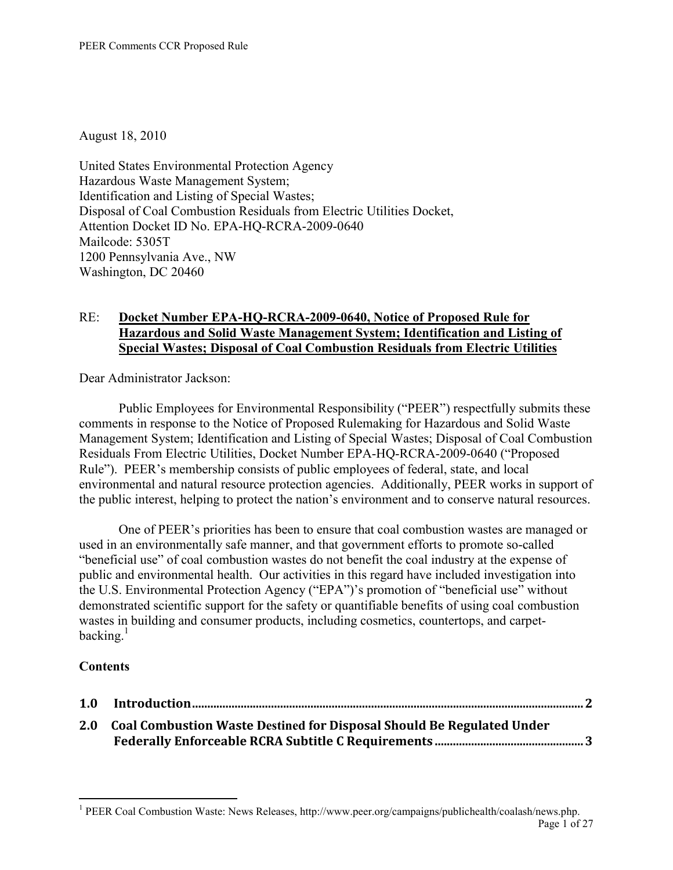August 18, 2010

United States Environmental Protection Agency Hazardous Waste Management System; Identification and Listing of Special Wastes; Disposal of Coal Combustion Residuals from Electric Utilities Docket, Attention Docket ID No. EPA-HQ-RCRA-2009-0640 Mailcode: 5305T 1200 Pennsylvania Ave., NW Washington, DC 20460

# RE: **Docket Number EPA-HQ-RCRA-2009-0640, Notice of Proposed Rule for Hazardous and Solid Waste Management System; Identification and Listing of Special Wastes; Disposal of Coal Combustion Residuals from Electric Utilities**

Dear Administrator Jackson:

Public Employees for Environmental Responsibility ("PEER") respectfully submits these comments in response to the Notice of Proposed Rulemaking for Hazardous and Solid Waste Management System; Identification and Listing of Special Wastes; Disposal of Coal Combustion Residuals From Electric Utilities, Docket Number EPA-HQ-RCRA-2009-0640 ("Proposed Rule"). PEER's membership consists of public employees of federal, state, and local environmental and natural resource protection agencies. Additionally, PEER works in support of the public interest, helping to protect the nation's environment and to conserve natural resources.

One of PEER's priorities has been to ensure that coal combustion wastes are managed or used in an environmentally safe manner, and that government efforts to promote so-called "beneficial use" of coal combustion wastes do not benefit the coal industry at the expense of public and environmental health. Our activities in this regard have included investigation into the U.S. Environmental Protection Agency ("EPA")'s promotion of "beneficial use" without demonstrated scientific support for the safety or quantifiable benefits of using coal combustion wastes in building and consumer products, including cosmetics, countertops, and carpetbacking. $<sup>1</sup>$ </sup>

# **Contents**

| 1.0 |                                                                           |
|-----|---------------------------------------------------------------------------|
|     | 2.0 Coal Combustion Waste Destined for Disposal Should Be Regulated Under |
|     |                                                                           |

Page 1 of 27 <sup>1</sup> PEER Coal Combustion Waste: News Releases, http://www.peer.org/campaigns/publichealth/coalash/news.php.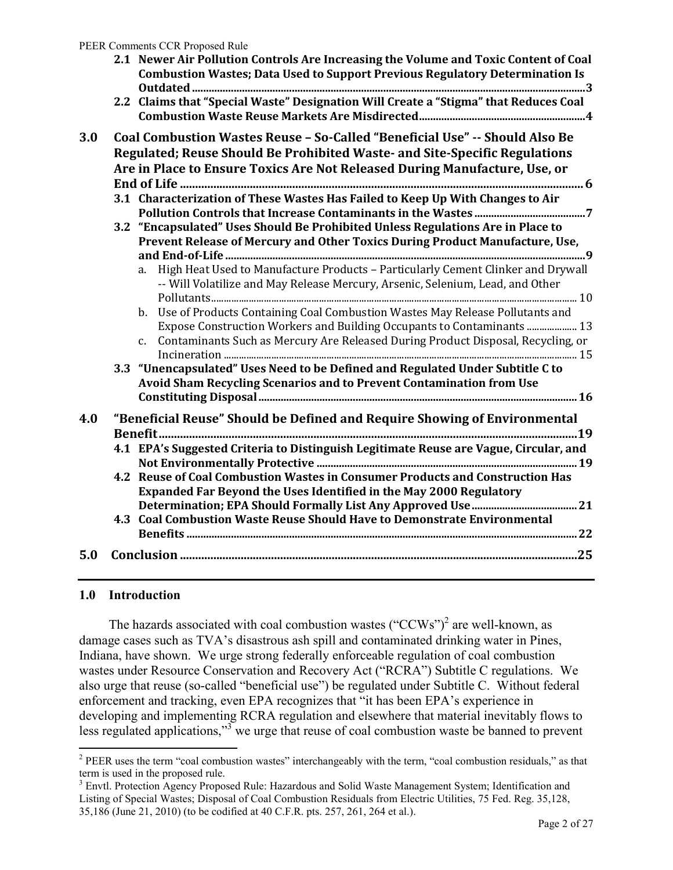<span id="page-1-0"></span>

|     | 2.1 Newer Air Pollution Controls Are Increasing the Volume and Toxic Content of Coal<br><b>Combustion Wastes; Data Used to Support Previous Regulatory Determination Is</b>                                                                         |
|-----|-----------------------------------------------------------------------------------------------------------------------------------------------------------------------------------------------------------------------------------------------------|
|     | 2.2 Claims that "Special Waste" Designation Will Create a "Stigma" that Reduces Coal                                                                                                                                                                |
| 3.0 | Coal Combustion Wastes Reuse - So-Called "Beneficial Use" -- Should Also Be<br>Regulated; Reuse Should Be Prohibited Waste- and Site-Specific Regulations<br>Are in Place to Ensure Toxics Are Not Released During Manufacture, Use, or             |
|     |                                                                                                                                                                                                                                                     |
|     | 3.1 Characterization of These Wastes Has Failed to Keep Up With Changes to Air                                                                                                                                                                      |
|     | 3.2 "Encapsulated" Uses Should Be Prohibited Unless Regulations Are in Place to<br>Prevent Release of Mercury and Other Toxics During Product Manufacture, Use,                                                                                     |
|     | High Heat Used to Manufacture Products - Particularly Cement Clinker and Drywall<br>a.<br>-- Will Volatilize and May Release Mercury, Arsenic, Selenium, Lead, and Other                                                                            |
|     | b. Use of Products Containing Coal Combustion Wastes May Release Pollutants and<br>Expose Construction Workers and Building Occupants to Contaminants  13<br>Contaminants Such as Mercury Are Released During Product Disposal, Recycling, or<br>c. |
|     | 3.3 "Unencapsulated" Uses Need to be Defined and Regulated Under Subtitle C to<br>Avoid Sham Recycling Scenarios and to Prevent Contamination from Use                                                                                              |
| 4.0 | "Beneficial Reuse" Should be Defined and Require Showing of Environmental<br>.19                                                                                                                                                                    |
|     | 4.1 EPA's Suggested Criteria to Distinguish Legitimate Reuse are Vague, Circular, and                                                                                                                                                               |
|     | 4.2 Reuse of Coal Combustion Wastes in Consumer Products and Construction Has<br>Expanded Far Beyond the Uses Identified in the May 2000 Regulatory                                                                                                 |
|     | 4.3 Coal Combustion Waste Reuse Should Have to Demonstrate Environmental                                                                                                                                                                            |
| 5.0 |                                                                                                                                                                                                                                                     |

### **1.0 Introduction**

 $\overline{a}$ 

The hazards associated with coal combustion wastes  $("CCWs")^2$  are well-known, as damage cases such as TVA's disastrous ash spill and contaminated drinking water in Pines, Indiana, have shown. We urge strong federally enforceable regulation of coal combustion wastes under Resource Conservation and Recovery Act ("RCRA") Subtitle C regulations. We also urge that reuse (so-called "beneficial use") be regulated under Subtitle C. Without federal enforcement and tracking, even EPA recognizes that "it has been EPA's experience in developing and implementing RCRA regulation and elsewhere that material inevitably flows to less regulated applications,"<sup>3</sup> we urge that reuse of coal combustion waste be banned to prevent

 $2$  PEER uses the term "coal combustion wastes" interchangeably with the term, "coal combustion residuals," as that term is used in the proposed rule.

<sup>&</sup>lt;sup>3</sup> Envtl. Protection Agency Proposed Rule: Hazardous and Solid Waste Management System; Identification and Listing of Special Wastes; Disposal of Coal Combustion Residuals from Electric Utilities, 75 Fed. Reg. 35,128, 35,186 (June 21, 2010) (to be codified at 40 C.F.R. pts. 257, 261, 264 et al.).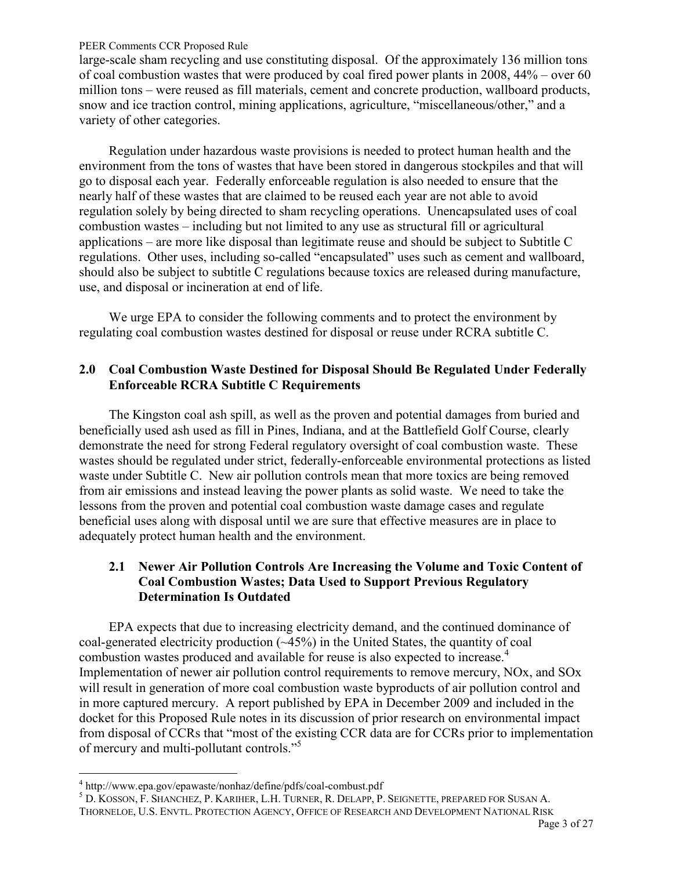<span id="page-2-0"></span>large-scale sham recycling and use constituting disposal. Of the approximately 136 million tons of coal combustion wastes that were produced by coal fired power plants in 2008, 44% – over 60 million tons – were reused as fill materials, cement and concrete production, wallboard products, snow and ice traction control, mining applications, agriculture, "miscellaneous/other," and a variety of other categories.

Regulation under hazardous waste provisions is needed to protect human health and the environment from the tons of wastes that have been stored in dangerous stockpiles and that will go to disposal each year. Federally enforceable regulation is also needed to ensure that the nearly half of these wastes that are claimed to be reused each year are not able to avoid regulation solely by being directed to sham recycling operations. Unencapsulated uses of coal combustion wastes – including but not limited to any use as structural fill or agricultural applications – are more like disposal than legitimate reuse and should be subject to Subtitle C regulations. Other uses, including so-called "encapsulated" uses such as cement and wallboard, should also be subject to subtitle C regulations because toxics are released during manufacture, use, and disposal or incineration at end of life.

We urge EPA to consider the following comments and to protect the environment by regulating coal combustion wastes destined for disposal or reuse under RCRA subtitle C.

## **2.0 Coal Combustion Waste Destined for Disposal Should Be Regulated Under Federally Enforceable RCRA Subtitle C Requirements**

The Kingston coal ash spill, as well as the proven and potential damages from buried and beneficially used ash used as fill in Pines, Indiana, and at the Battlefield Golf Course, clearly demonstrate the need for strong Federal regulatory oversight of coal combustion waste. These wastes should be regulated under strict, federally-enforceable environmental protections as listed waste under Subtitle C. New air pollution controls mean that more toxics are being removed from air emissions and instead leaving the power plants as solid waste. We need to take the lessons from the proven and potential coal combustion waste damage cases and regulate beneficial uses along with disposal until we are sure that effective measures are in place to adequately protect human health and the environment.

# **2.1 Newer Air Pollution Controls Are Increasing the Volume and Toxic Content of Coal Combustion Wastes; Data Used to Support Previous Regulatory Determination Is Outdated**

EPA expects that due to increasing electricity demand, and the continued dominance of coal-generated electricity production (~45%) in the United States, the quantity of coal combustion wastes produced and available for reuse is also expected to increase.<sup>4</sup> Implementation of newer air pollution control requirements to remove mercury, NOx, and SOx will result in generation of more coal combustion waste byproducts of air pollution control and in more captured mercury. A report published by EPA in December 2009 and included in the docket for this Proposed Rule notes in its discussion of prior research on environmental impact from disposal of CCRs that "most of the existing CCR data are for CCRs prior to implementation of mercury and multi-pollutant controls."<sup>5</sup>

 $\overline{a}$ 

5 D. KOSSON, F. SHANCHEZ, P. KARIHER, L.H. TURNER, R. DELAPP, P. SEIGNETTE, PREPARED FOR SUSAN A. THORNELOE, U.S. ENVTL. PROTECTION AGENCY, OFFICE OF RESEARCH AND DEVELOPMENT NATIONAL RISK

<sup>4</sup> http://www.epa.gov/epawaste/nonhaz/define/pdfs/coal-combust.pdf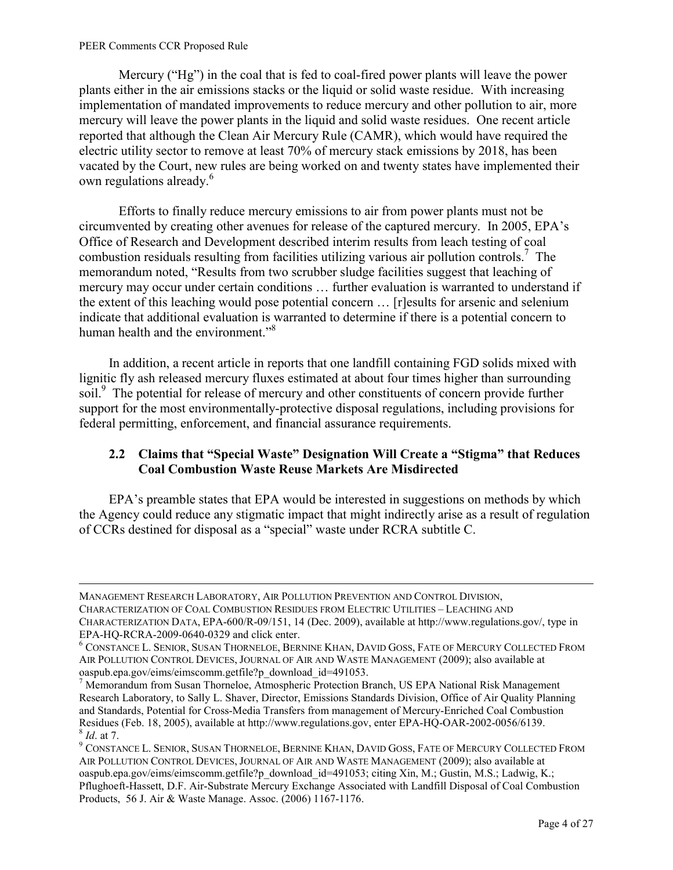$\overline{a}$ 

<span id="page-3-0"></span>Mercury ("Hg") in the coal that is fed to coal-fired power plants will leave the power plants either in the air emissions stacks or the liquid or solid waste residue. With increasing implementation of mandated improvements to reduce mercury and other pollution to air, more mercury will leave the power plants in the liquid and solid waste residues. One recent article reported that although the Clean Air Mercury Rule (CAMR), which would have required the electric utility sector to remove at least 70% of mercury stack emissions by 2018, has been vacated by the Court, new rules are being worked on and twenty states have implemented their own regulations already.<sup>6</sup>

Efforts to finally reduce mercury emissions to air from power plants must not be circumvented by creating other avenues for release of the captured mercury. In 2005, EPA's Office of Research and Development described interim results from leach testing of coal combustion residuals resulting from facilities utilizing various air pollution controls.<sup>7</sup> The memorandum noted, "Results from two scrubber sludge facilities suggest that leaching of mercury may occur under certain conditions … further evaluation is warranted to understand if the extent of this leaching would pose potential concern … [r]esults for arsenic and selenium indicate that additional evaluation is warranted to determine if there is a potential concern to human health and the environment."<sup>8</sup>

In addition, a recent article in reports that one landfill containing FGD solids mixed with lignitic fly ash released mercury fluxes estimated at about four times higher than surrounding soil.<sup>9</sup> The potential for release of mercury and other constituents of concern provide further support for the most environmentally-protective disposal regulations, including provisions for federal permitting, enforcement, and financial assurance requirements.

## **2.2 Claims that "Special Waste" Designation Will Create a "Stigma" that Reduces Coal Combustion Waste Reuse Markets Are Misdirected**

EPA's preamble states that EPA would be interested in suggestions on methods by which the Agency could reduce any stigmatic impact that might indirectly arise as a result of regulation of CCRs destined for disposal as a "special" waste under RCRA subtitle C.

MANAGEMENT RESEARCH LABORATORY, AIR POLLUTION PREVENTION AND CONTROL DIVISION, CHARACTERIZATION OF COAL COMBUSTION RESIDUES FROM ELECTRIC UTILITIES – LEACHING AND CHARACTERIZATION DATA, EPA-600/R-09/151, 14 (Dec. 2009), available at http://www.regulations.gov/, type in EPA-HQ-RCRA-2009-0640-0329 and click enter.

<sup>6</sup> CONSTANCE L. SENIOR, SUSAN THORNELOE, BERNINE KHAN, DAVID GOSS, FATE OF MERCURY COLLECTED FROM AIR POLLUTION CONTROL DEVICES, JOURNAL OF AIR AND WASTE MANAGEMENT (2009); also available at oaspub.epa.gov/eims/eimscomm.getfile?p\_download\_id=491053.

<sup>&</sup>lt;sup>7</sup> Memorandum from Susan Thorneloe, Atmospheric Protection Branch, US EPA National Risk Management Research Laboratory, to Sally L. Shaver, Director, Emissions Standards Division, Office of Air Quality Planning and Standards, Potential for Cross-Media Transfers from management of Mercury-Enriched Coal Combustion Residues (Feb. 18, 2005), available at http://www.regulations.gov, enter EPA-HQ-OAR-2002-0056/6139. 8 *Id*. at 7.

<sup>&</sup>lt;sup>9</sup> CONSTANCE L. SENIOR, SUSAN THORNELOE, BERNINE KHAN, DAVID GOSS, FATE OF MERCURY COLLECTED FROM AIR POLLUTION CONTROL DEVICES, JOURNAL OF AIR AND WASTE MANAGEMENT (2009); also available at oaspub.epa.gov/eims/eimscomm.getfile?p\_download\_id=491053; citing Xin, M.; Gustin, M.S.; Ladwig, K.; Pflughoeft-Hassett, D.F. Air-Substrate Mercury Exchange Associated with Landfill Disposal of Coal Combustion Products, 56 J. Air & Waste Manage. Assoc. (2006) 1167-1176.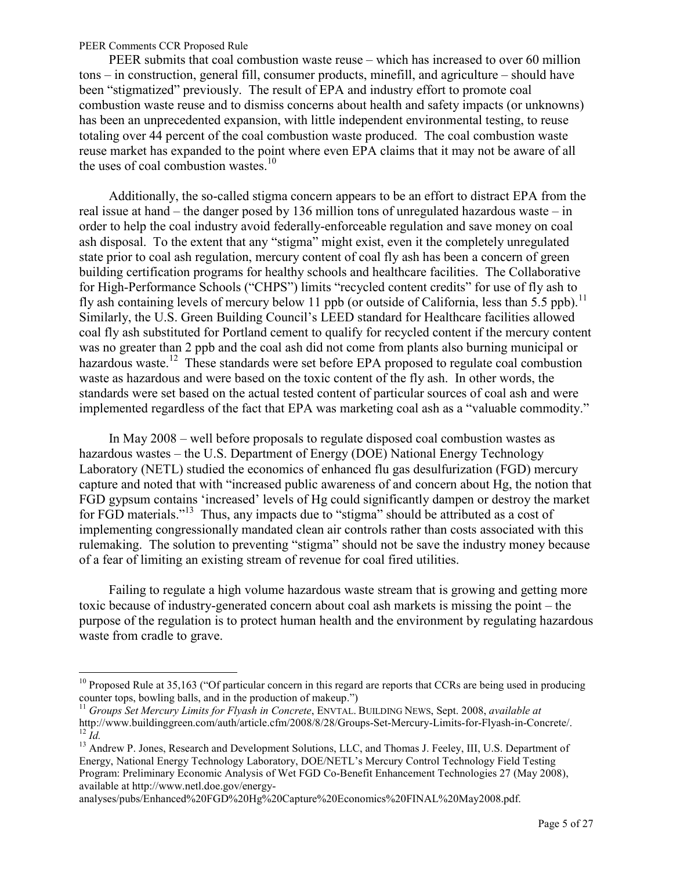$\overline{a}$ 

PEER submits that coal combustion waste reuse – which has increased to over 60 million tons – in construction, general fill, consumer products, minefill, and agriculture – should have been "stigmatized" previously. The result of EPA and industry effort to promote coal combustion waste reuse and to dismiss concerns about health and safety impacts (or unknowns) has been an unprecedented expansion, with little independent environmental testing, to reuse totaling over 44 percent of the coal combustion waste produced. The coal combustion waste reuse market has expanded to the point where even EPA claims that it may not be aware of all the uses of coal combustion wastes. $10$ 

Additionally, the so-called stigma concern appears to be an effort to distract EPA from the real issue at hand – the danger posed by 136 million tons of unregulated hazardous waste – in order to help the coal industry avoid federally-enforceable regulation and save money on coal ash disposal. To the extent that any "stigma" might exist, even it the completely unregulated state prior to coal ash regulation, mercury content of coal fly ash has been a concern of green building certification programs for healthy schools and healthcare facilities. The Collaborative for High-Performance Schools ("CHPS") limits "recycled content credits" for use of fly ash to fly ash containing levels of mercury below 11 ppb (or outside of California, less than  $5.5$  ppb).<sup>11</sup> Similarly, the U.S. Green Building Council's LEED standard for Healthcare facilities allowed coal fly ash substituted for Portland cement to qualify for recycled content if the mercury content was no greater than 2 ppb and the coal ash did not come from plants also burning municipal or hazardous waste.<sup>12</sup> These standards were set before EPA proposed to regulate coal combustion waste as hazardous and were based on the toxic content of the fly ash. In other words, the standards were set based on the actual tested content of particular sources of coal ash and were implemented regardless of the fact that EPA was marketing coal ash as a "valuable commodity."

In May 2008 – well before proposals to regulate disposed coal combustion wastes as hazardous wastes – the U.S. Department of Energy (DOE) National Energy Technology Laboratory (NETL) studied the economics of enhanced flu gas desulfurization (FGD) mercury capture and noted that with "increased public awareness of and concern about Hg, the notion that FGD gypsum contains 'increased' levels of Hg could significantly dampen or destroy the market for FGD materials."<sup>13</sup> Thus, any impacts due to "stigma" should be attributed as a cost of implementing congressionally mandated clean air controls rather than costs associated with this rulemaking. The solution to preventing "stigma" should not be save the industry money because of a fear of limiting an existing stream of revenue for coal fired utilities.

Failing to regulate a high volume hazardous waste stream that is growing and getting more toxic because of industry-generated concern about coal ash markets is missing the point – the purpose of the regulation is to protect human health and the environment by regulating hazardous waste from cradle to grave.

analyses/pubs/Enhanced%20FGD%20Hg%20Capture%20Economics%20FINAL%20May2008.pdf.

 $10$  Proposed Rule at 35,163 ("Of particular concern in this regard are reports that CCRs are being used in producing counter tops, bowling balls, and in the production of makeup.")

<sup>11</sup> *Groups Set Mercury Limits for Flyash in Concrete*, ENVTAL. BUILDING NEWS, Sept. 2008, *available at* http://www.buildinggreen.com/auth/article.cfm/2008/8/28/Groups-Set-Mercury-Limits-for-Flyash-in-Concrete/. <sup>12</sup> *Id.*

<sup>&</sup>lt;sup>13</sup> Andrew P. Jones, Research and Development Solutions, LLC, and Thomas J. Feeley, III, U.S. Department of Energy, National Energy Technology Laboratory, DOE/NETL's Mercury Control Technology Field Testing Program: Preliminary Economic Analysis of Wet FGD Co-Benefit Enhancement Technologies 27 (May 2008), available at http://www.netl.doe.gov/energy-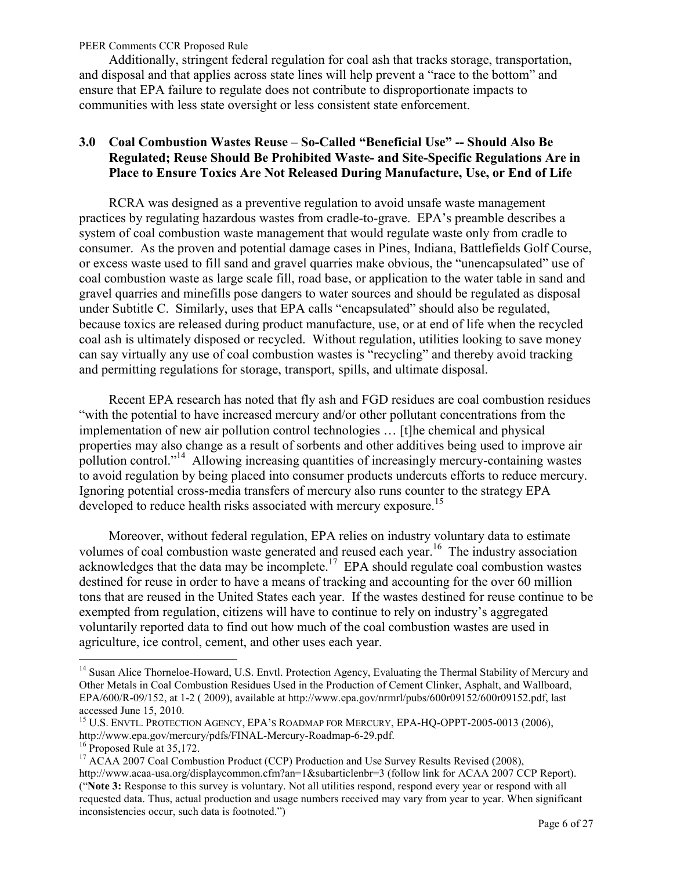<span id="page-5-0"></span>Additionally, stringent federal regulation for coal ash that tracks storage, transportation, and disposal and that applies across state lines will help prevent a "race to the bottom" and ensure that EPA failure to regulate does not contribute to disproportionate impacts to communities with less state oversight or less consistent state enforcement.

## **3.0 Coal Combustion Wastes Reuse – So-Called "Beneficial Use" -- Should Also Be Regulated; Reuse Should Be Prohibited Waste- and Site-Specific Regulations Are in Place to Ensure Toxics Are Not Released During Manufacture, Use, or End of Life**

RCRA was designed as a preventive regulation to avoid unsafe waste management practices by regulating hazardous wastes from cradle-to-grave. EPA's preamble describes a system of coal combustion waste management that would regulate waste only from cradle to consumer. As the proven and potential damage cases in Pines, Indiana, Battlefields Golf Course, or excess waste used to fill sand and gravel quarries make obvious, the "unencapsulated" use of coal combustion waste as large scale fill, road base, or application to the water table in sand and gravel quarries and minefills pose dangers to water sources and should be regulated as disposal under Subtitle C. Similarly, uses that EPA calls "encapsulated" should also be regulated, because toxics are released during product manufacture, use, or at end of life when the recycled coal ash is ultimately disposed or recycled. Without regulation, utilities looking to save money can say virtually any use of coal combustion wastes is "recycling" and thereby avoid tracking and permitting regulations for storage, transport, spills, and ultimate disposal.

Recent EPA research has noted that fly ash and FGD residues are coal combustion residues "with the potential to have increased mercury and/or other pollutant concentrations from the implementation of new air pollution control technologies … [t]he chemical and physical properties may also change as a result of sorbents and other additives being used to improve air pollution control."<sup>14</sup> Allowing increasing quantities of increasingly mercury-containing wastes to avoid regulation by being placed into consumer products undercuts efforts to reduce mercury. Ignoring potential cross-media transfers of mercury also runs counter to the strategy EPA developed to reduce health risks associated with mercury exposure.<sup>15</sup>

Moreover, without federal regulation, EPA relies on industry voluntary data to estimate volumes of coal combustion waste generated and reused each year.<sup>16</sup> The industry association acknowledges that the data may be incomplete.<sup>17</sup> EPA should regulate coal combustion wastes destined for reuse in order to have a means of tracking and accounting for the over 60 million tons that are reused in the United States each year. If the wastes destined for reuse continue to be exempted from regulation, citizens will have to continue to rely on industry's aggregated voluntarily reported data to find out how much of the coal combustion wastes are used in agriculture, ice control, cement, and other uses each year.

<sup>&</sup>lt;sup>14</sup> Susan Alice Thorneloe-Howard, U.S. Envtl. Protection Agency, Evaluating the Thermal Stability of Mercury and Other Metals in Coal Combustion Residues Used in the Production of Cement Clinker, Asphalt, and Wallboard, EPA/600/R-09/152, at 1-2 ( 2009), available at http://www.epa.gov/nrmrl/pubs/600r09152/600r09152.pdf, last accessed June 15, 2010.

<sup>&</sup>lt;sup>15</sup> U.S. ENVTL. PROTECTION AGENCY, EPA'S ROADMAP FOR MERCURY, EPA-HQ-OPPT-2005-0013 (2006), http://www.epa.gov/mercury/pdfs/FINAL-Mercury-Roadmap-6-29.pdf.

<sup>&</sup>lt;sup>16</sup> Proposed Rule at 35,172.

<sup>&</sup>lt;sup>17</sup> ACAA 2007 Coal Combustion Product (CCP) Production and Use Survey Results Revised (2008), http://www.acaa-usa.org/displaycommon.cfm?an=1&subarticlenbr=3 (follow link for ACAA 2007 CCP Report). ("**Note 3:** Response to this survey is voluntary. Not all utilities respond, respond every year or respond with all requested data. Thus, actual production and usage numbers received may vary from year to year. When significant inconsistencies occur, such data is footnoted.")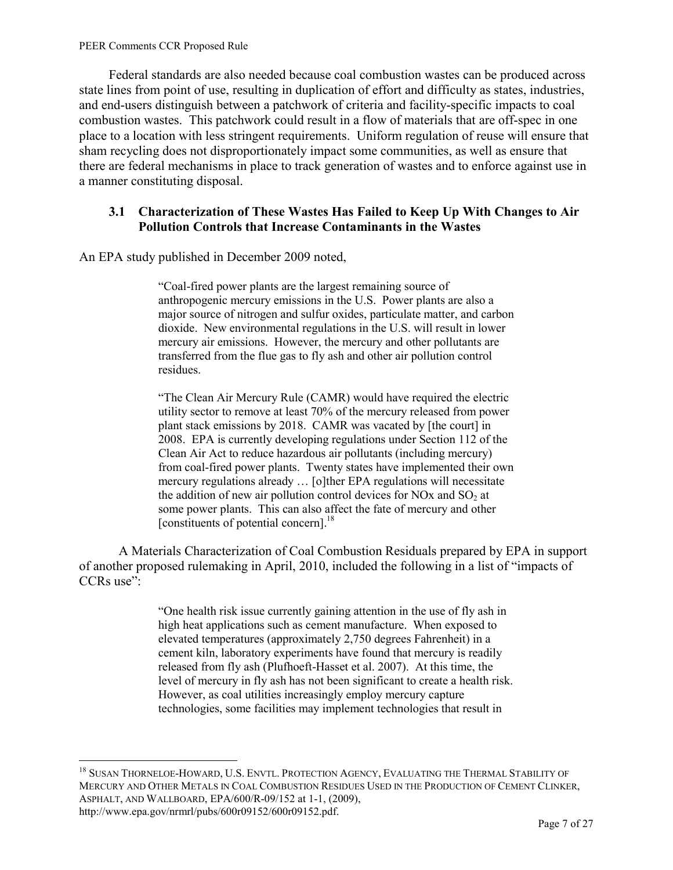$\overline{a}$ 

<span id="page-6-0"></span>Federal standards are also needed because coal combustion wastes can be produced across state lines from point of use, resulting in duplication of effort and difficulty as states, industries, and end-users distinguish between a patchwork of criteria and facility-specific impacts to coal combustion wastes. This patchwork could result in a flow of materials that are off-spec in one place to a location with less stringent requirements. Uniform regulation of reuse will ensure that sham recycling does not disproportionately impact some communities, as well as ensure that there are federal mechanisms in place to track generation of wastes and to enforce against use in a manner constituting disposal.

### **3.1 Characterization of These Wastes Has Failed to Keep Up With Changes to Air Pollution Controls that Increase Contaminants in the Wastes**

An EPA study published in December 2009 noted,

"Coal-fired power plants are the largest remaining source of anthropogenic mercury emissions in the U.S. Power plants are also a major source of nitrogen and sulfur oxides, particulate matter, and carbon dioxide. New environmental regulations in the U.S. will result in lower mercury air emissions. However, the mercury and other pollutants are transferred from the flue gas to fly ash and other air pollution control residues.

"The Clean Air Mercury Rule (CAMR) would have required the electric utility sector to remove at least 70% of the mercury released from power plant stack emissions by 2018. CAMR was vacated by [the court] in 2008. EPA is currently developing regulations under Section 112 of the Clean Air Act to reduce hazardous air pollutants (including mercury) from coal-fired power plants. Twenty states have implemented their own mercury regulations already … [o]ther EPA regulations will necessitate the addition of new air pollution control devices for NOx and  $SO<sub>2</sub>$  at some power plants. This can also affect the fate of mercury and other [constituents of potential concern]. $^{18}$ 

A Materials Characterization of Coal Combustion Residuals prepared by EPA in support of another proposed rulemaking in April, 2010, included the following in a list of "impacts of CCRs use":

> "One health risk issue currently gaining attention in the use of fly ash in high heat applications such as cement manufacture. When exposed to elevated temperatures (approximately 2,750 degrees Fahrenheit) in a cement kiln, laboratory experiments have found that mercury is readily released from fly ash (Plufhoeft-Hasset et al. 2007). At this time, the level of mercury in fly ash has not been significant to create a health risk. However, as coal utilities increasingly employ mercury capture technologies, some facilities may implement technologies that result in

<sup>&</sup>lt;sup>18</sup> SUSAN THORNELOE-HOWARD, U.S. ENVTL. PROTECTION AGENCY, EVALUATING THE THERMAL STABILITY OF MERCURY AND OTHER METALS IN COAL COMBUSTION RESIDUES USED IN THE PRODUCTION OF CEMENT CLINKER, ASPHALT, AND WALLBOARD, EPA/600/R-09/152 at 1-1, (2009), http://www.epa.gov/nrmrl/pubs/600r09152/600r09152.pdf.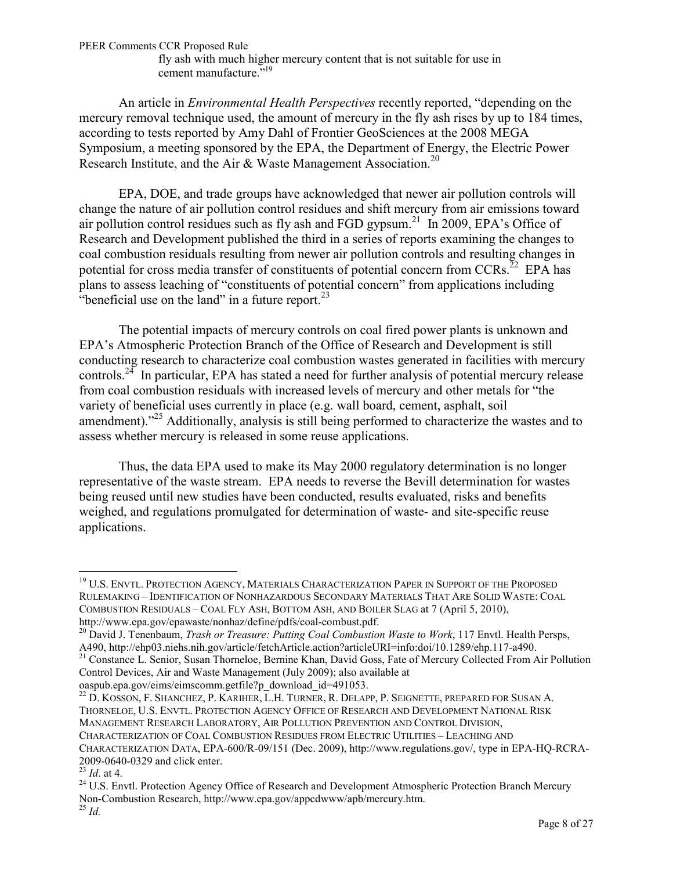fly ash with much higher mercury content that is not suitable for use in cement manufacture."<sup>19</sup>

An article in *Environmental Health Perspectives* recently reported, "depending on the mercury removal technique used, the amount of mercury in the fly ash rises by up to 184 times, according to tests reported by Amy Dahl of Frontier GeoSciences at the 2008 MEGA Symposium, a meeting sponsored by the EPA, the Department of Energy, the Electric Power Research Institute, and the Air & Waste Management Association.<sup>20</sup>

EPA, DOE, and trade groups have acknowledged that newer air pollution controls will change the nature of air pollution control residues and shift mercury from air emissions toward air pollution control residues such as fly ash and FGD gypsum.<sup>21</sup> In 2009, EPA's Office of Research and Development published the third in a series of reports examining the changes to coal combustion residuals resulting from newer air pollution controls and resulting changes in potential for cross media transfer of constituents of potential concern from  $CCRs$ <sup>22</sup> EPA has plans to assess leaching of "constituents of potential concern" from applications including "beneficial use on the land" in a future report. $^{23}$ 

The potential impacts of mercury controls on coal fired power plants is unknown and EPA's Atmospheric Protection Branch of the Office of Research and Development is still conducting research to characterize coal combustion wastes generated in facilities with mercury controls.<sup>24</sup> In particular, EPA has stated a need for further analysis of potential mercury release from coal combustion residuals with increased levels of mercury and other metals for "the variety of beneficial uses currently in place (e.g. wall board, cement, asphalt, soil amendment)."<sup>25</sup> Additionally, analysis is still being performed to characterize the wastes and to assess whether mercury is released in some reuse applications.

Thus, the data EPA used to make its May 2000 regulatory determination is no longer representative of the waste stream. EPA needs to reverse the Bevill determination for wastes being reused until new studies have been conducted, results evaluated, risks and benefits weighed, and regulations promulgated for determination of waste- and site-specific reuse applications.

<sup>21</sup> Constance L. Senior, Susan Thorneloe, Bernine Khan, David Goss, Fate of Mercury Collected From Air Pollution Control Devices, Air and Waste Management (July 2009); also available at

oaspub.epa.gov/eims/eimscomm.getfile?p\_download\_id=491053.

<sup>22</sup> D. KOSSON, F. SHANCHEZ, P. KARIHER, L.H. TURNER, R. DELAPP, P. SEIGNETTE, PREPARED FOR SUSAN A. THORNELOE, U.S. ENVTL. PROTECTION AGENCY OFFICE OF RESEARCH AND DEVELOPMENT NATIONAL RISK MANAGEMENT RESEARCH LABORATORY, AIR POLLUTION PREVENTION AND CONTROL DIVISION,

CHARACTERIZATION OF COAL COMBUSTION RESIDUES FROM ELECTRIC UTILITIES – LEACHING AND

<sup>&</sup>lt;sup>19</sup> U.S. ENVTL. PROTECTION AGENCY, MATERIALS CHARACTERIZATION PAPER IN SUPPORT OF THE PROPOSED RULEMAKING – IDENTIFICATION OF NONHAZARDOUS SECONDARY MATERIALS THAT ARE SOLID WASTE: COAL COMBUSTION RESIDUALS – COAL FLY ASH, BOTTOM ASH, AND BOILER SLAG at 7 (April 5, 2010), http://www.epa.gov/epawaste/nonhaz/define/pdfs/coal-combust.pdf.

<sup>20</sup> David J. Tenenbaum, *Trash or Treasure: Putting Coal Combustion Waste to Work*, 117 Envtl. Health Persps, A490, http://ehp03.niehs.nih.gov/article/fetchArticle.action?articleURI=info:doi/10.1289/ehp.117-a490.

CHARACTERIZATION DATA, EPA-600/R-09/151 (Dec. 2009), http://www.regulations.gov/, type in EPA-HQ-RCRA-2009-0640-0329 and click enter.

<sup>23</sup> *Id*. at 4.

<sup>&</sup>lt;sup>24</sup> U.S. Envtl. Protection Agency Office of Research and Development Atmospheric Protection Branch Mercury Non-Combustion Research, http://www.epa.gov/appcdwww/apb/mercury.htm. <sup>25</sup> *Id.*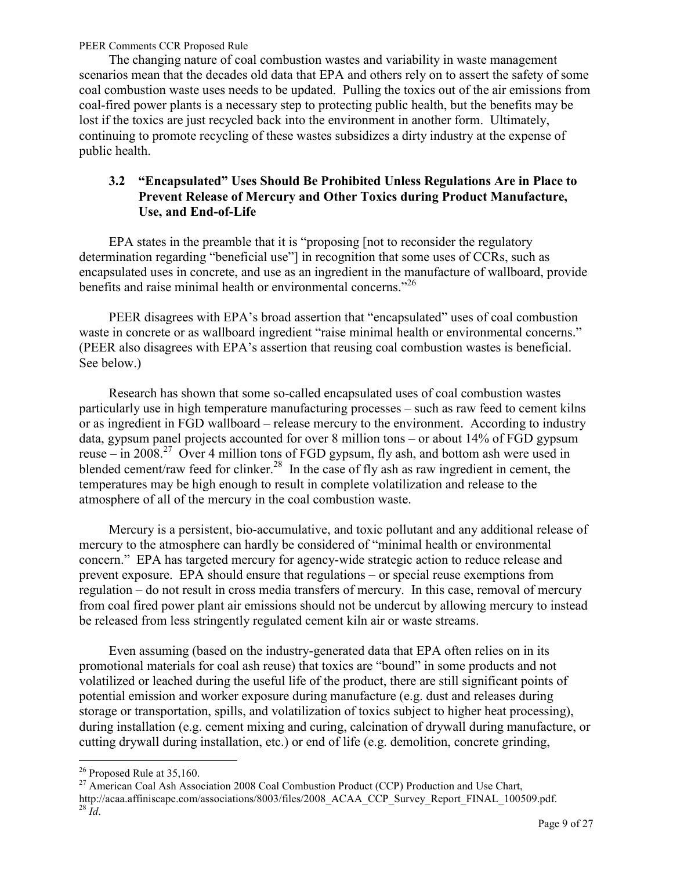<span id="page-8-0"></span>The changing nature of coal combustion wastes and variability in waste management scenarios mean that the decades old data that EPA and others rely on to assert the safety of some coal combustion waste uses needs to be updated. Pulling the toxics out of the air emissions from coal-fired power plants is a necessary step to protecting public health, but the benefits may be lost if the toxics are just recycled back into the environment in another form. Ultimately, continuing to promote recycling of these wastes subsidizes a dirty industry at the expense of public health.

# **3.2 "Encapsulated" Uses Should Be Prohibited Unless Regulations Are in Place to Prevent Release of Mercury and Other Toxics during Product Manufacture, Use, and End-of-Life**

EPA states in the preamble that it is "proposing [not to reconsider the regulatory determination regarding "beneficial use"] in recognition that some uses of CCRs, such as encapsulated uses in concrete, and use as an ingredient in the manufacture of wallboard, provide benefits and raise minimal health or environmental concerns.<sup>"26</sup>

PEER disagrees with EPA's broad assertion that "encapsulated" uses of coal combustion waste in concrete or as wallboard ingredient "raise minimal health or environmental concerns." (PEER also disagrees with EPA's assertion that reusing coal combustion wastes is beneficial. See below.)

Research has shown that some so-called encapsulated uses of coal combustion wastes particularly use in high temperature manufacturing processes – such as raw feed to cement kilns or as ingredient in FGD wallboard – release mercury to the environment. According to industry data, gypsum panel projects accounted for over 8 million tons – or about 14% of FGD gypsum reuse – in 2008.<sup>27</sup> Over 4 million tons of FGD gypsum, fly ash, and bottom ash were used in blended cement/raw feed for clinker.<sup>28</sup> In the case of fly ash as raw ingredient in cement, the temperatures may be high enough to result in complete volatilization and release to the atmosphere of all of the mercury in the coal combustion waste.

Mercury is a persistent, bio-accumulative, and toxic pollutant and any additional release of mercury to the atmosphere can hardly be considered of "minimal health or environmental concern." EPA has targeted mercury for agency-wide strategic action to reduce release and prevent exposure. EPA should ensure that regulations – or special reuse exemptions from regulation – do not result in cross media transfers of mercury. In this case, removal of mercury from coal fired power plant air emissions should not be undercut by allowing mercury to instead be released from less stringently regulated cement kiln air or waste streams.

Even assuming (based on the industry-generated data that EPA often relies on in its promotional materials for coal ash reuse) that toxics are "bound" in some products and not volatilized or leached during the useful life of the product, there are still significant points of potential emission and worker exposure during manufacture (e.g. dust and releases during storage or transportation, spills, and volatilization of toxics subject to higher heat processing), during installation (e.g. cement mixing and curing, calcination of drywall during manufacture, or cutting drywall during installation, etc.) or end of life (e.g. demolition, concrete grinding,

 $\overline{a}$  $26$  Proposed Rule at 35,160.

<sup>&</sup>lt;sup>27</sup> American Coal Ash Association 2008 Coal Combustion Product (CCP) Production and Use Chart, http://acaa.affiniscape.com/associations/8003/files/2008\_ACAA\_CCP\_Survey\_Report\_FINAL\_100509.pdf.  $^{28}$   $\dot{I}$ *d*.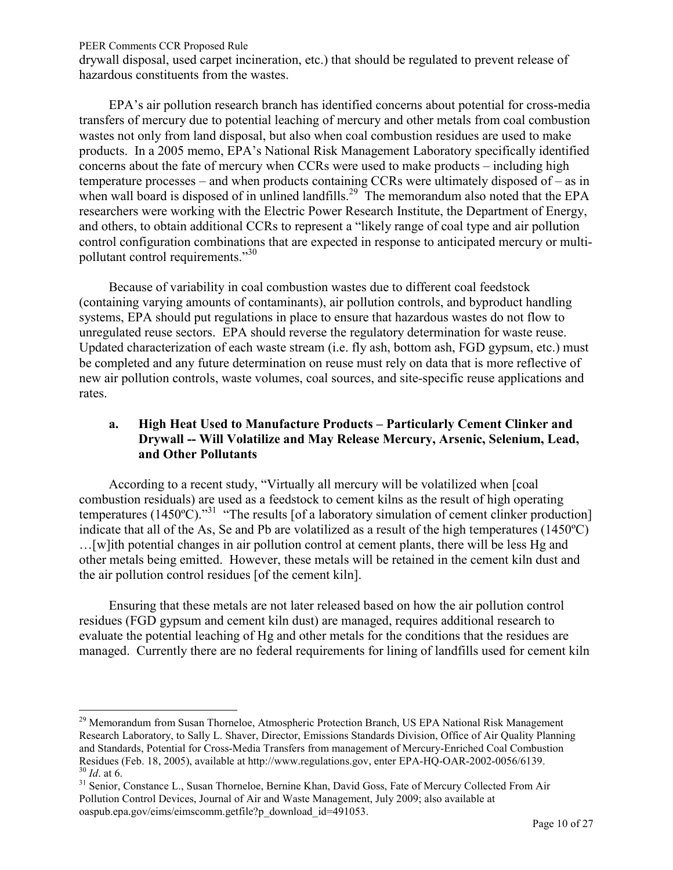$\overline{a}$ 

<span id="page-9-0"></span>drywall disposal, used carpet incineration, etc.) that should be regulated to prevent release of hazardous constituents from the wastes.

EPA's air pollution research branch has identified concerns about potential for cross-media transfers of mercury due to potential leaching of mercury and other metals from coal combustion wastes not only from land disposal, but also when coal combustion residues are used to make products. In a 2005 memo, EPA's National Risk Management Laboratory specifically identified concerns about the fate of mercury when CCRs were used to make products – including high temperature processes – and when products containing CCRs were ultimately disposed of – as in when wall board is disposed of in unlined landfills.<sup>29</sup> The memorandum also noted that the EPA researchers were working with the Electric Power Research Institute, the Department of Energy, and others, to obtain additional CCRs to represent a "likely range of coal type and air pollution control configuration combinations that are expected in response to anticipated mercury or multipollutant control requirements."<sup>30</sup>

Because of variability in coal combustion wastes due to different coal feedstock (containing varying amounts of contaminants), air pollution controls, and byproduct handling systems, EPA should put regulations in place to ensure that hazardous wastes do not flow to unregulated reuse sectors. EPA should reverse the regulatory determination for waste reuse. Updated characterization of each waste stream (i.e. fly ash, bottom ash, FGD gypsum, etc.) must be completed and any future determination on reuse must rely on data that is more reflective of new air pollution controls, waste volumes, coal sources, and site-specific reuse applications and rates.

## **a. High Heat Used to Manufacture Products – Particularly Cement Clinker and Drywall -- Will Volatilize and May Release Mercury, Arsenic, Selenium, Lead, and Other Pollutants**

According to a recent study, "Virtually all mercury will be volatilized when [coal combustion residuals) are used as a feedstock to cement kilns as the result of high operating temperatures (1450°C)."<sup>31</sup> "The results [of a laboratory simulation of cement clinker production] indicate that all of the As, Se and Pb are volatilized as a result of the high temperatures (1450ºC) …[w]ith potential changes in air pollution control at cement plants, there will be less Hg and other metals being emitted. However, these metals will be retained in the cement kiln dust and the air pollution control residues [of the cement kiln].

Ensuring that these metals are not later released based on how the air pollution control residues (FGD gypsum and cement kiln dust) are managed, requires additional research to evaluate the potential leaching of Hg and other metals for the conditions that the residues are managed. Currently there are no federal requirements for lining of landfills used for cement kiln

<sup>&</sup>lt;sup>29</sup> Memorandum from Susan Thorneloe, Atmospheric Protection Branch, US EPA National Risk Management Research Laboratory, to Sally L. Shaver, Director, Emissions Standards Division, Office of Air Quality Planning and Standards, Potential for Cross-Media Transfers from management of Mercury-Enriched Coal Combustion Residues (Feb. 18, 2005), available at http://www.regulations.gov, enter EPA-HQ-OAR-2002-0056/6139. <sup>30</sup> *Id*. at 6.

<sup>&</sup>lt;sup>31</sup> Senior, Constance L., Susan Thorneloe, Bernine Khan, David Goss, Fate of Mercury Collected From Air Pollution Control Devices, Journal of Air and Waste Management, July 2009; also available at oaspub.epa.gov/eims/eimscomm.getfile?p\_download\_id=491053.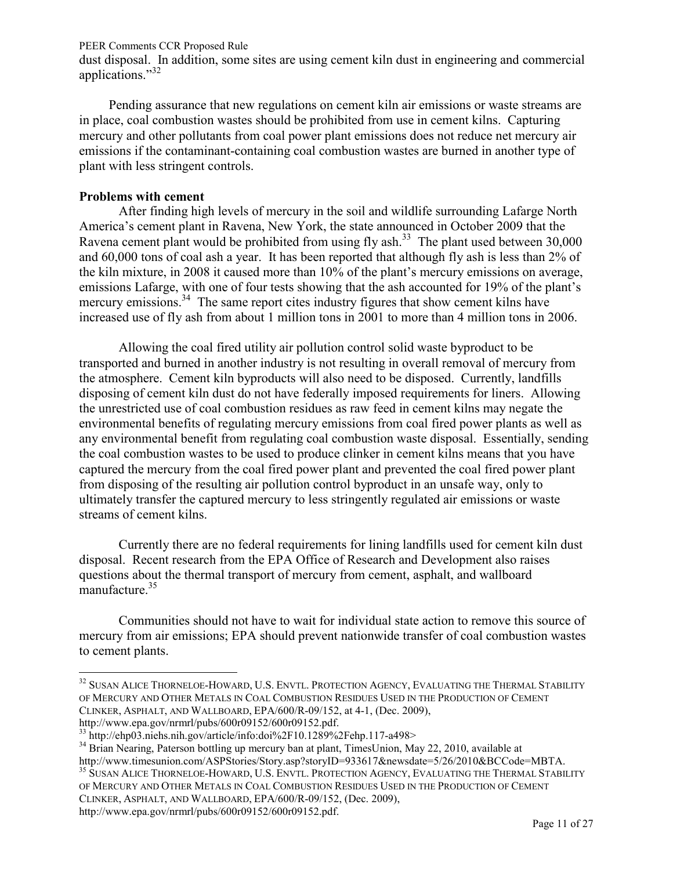dust disposal. In addition, some sites are using cement kiln dust in engineering and commercial applications."<sup>32</sup>

Pending assurance that new regulations on cement kiln air emissions or waste streams are in place, coal combustion wastes should be prohibited from use in cement kilns. Capturing mercury and other pollutants from coal power plant emissions does not reduce net mercury air emissions if the contaminant-containing coal combustion wastes are burned in another type of plant with less stringent controls.

### **Problems with cement**

After finding high levels of mercury in the soil and wildlife surrounding Lafarge North America's cement plant in Ravena, New York, the state announced in October 2009 that the Ravena cement plant would be prohibited from using fly ash.<sup>33</sup> The plant used between  $30,000$ and 60,000 tons of coal ash a year. It has been reported that although fly ash is less than 2% of the kiln mixture, in 2008 it caused more than 10% of the plant's mercury emissions on average, emissions Lafarge, with one of four tests showing that the ash accounted for 19% of the plant's mercury emissions.<sup>34</sup> The same report cites industry figures that show cement kilns have increased use of fly ash from about 1 million tons in 2001 to more than 4 million tons in 2006.

Allowing the coal fired utility air pollution control solid waste byproduct to be transported and burned in another industry is not resulting in overall removal of mercury from the atmosphere. Cement kiln byproducts will also need to be disposed. Currently, landfills disposing of cement kiln dust do not have federally imposed requirements for liners. Allowing the unrestricted use of coal combustion residues as raw feed in cement kilns may negate the environmental benefits of regulating mercury emissions from coal fired power plants as well as any environmental benefit from regulating coal combustion waste disposal. Essentially, sending the coal combustion wastes to be used to produce clinker in cement kilns means that you have captured the mercury from the coal fired power plant and prevented the coal fired power plant from disposing of the resulting air pollution control byproduct in an unsafe way, only to ultimately transfer the captured mercury to less stringently regulated air emissions or waste streams of cement kilns.

Currently there are no federal requirements for lining landfills used for cement kiln dust disposal. Recent research from the EPA Office of Research and Development also raises questions about the thermal transport of mercury from cement, asphalt, and wallboard manufacture.<sup>35</sup>

Communities should not have to wait for individual state action to remove this source of mercury from air emissions; EPA should prevent nationwide transfer of coal combustion wastes to cement plants.

<sup>34</sup> Brian Nearing, Paterson bottling up mercury ban at plant, TimesUnion, May 22, 2010, available at http://www.timesunion.com/ASPStories/Story.asp?storyID=933617&newsdate=5/26/2010&BCCode=MBTA. <sup>35</sup> SUSAN ALICE THORNELOE-HOWARD, U.S. ENVTL. PROTECTION AGENCY, EVALUATING THE THERMAL STABILITY

OF MERCURY AND OTHER METALS IN COAL COMBUSTION RESIDUES USED IN THE PRODUCTION OF CEMENT CLINKER, ASPHALT, AND WALLBOARD, EPA/600/R-09/152, (Dec. 2009),

 $\overline{a}$  $^{32}$  Susan Alice Thorneloe-Howard, U.S. Envtl. Protection Agency, Evaluating the Thermal Stability OF MERCURY AND OTHER METALS IN COAL COMBUSTION RESIDUES USED IN THE PRODUCTION OF CEMENT CLINKER, ASPHALT, AND WALLBOARD, EPA/600/R-09/152, at 4-1, (Dec. 2009),

http://www.epa.gov/nrmrl/pubs/600r09152/600r09152.pdf.

<sup>33</sup> http://ehp03.niehs.nih.gov/article/info:doi%2F10.1289%2Fehp.117-a498>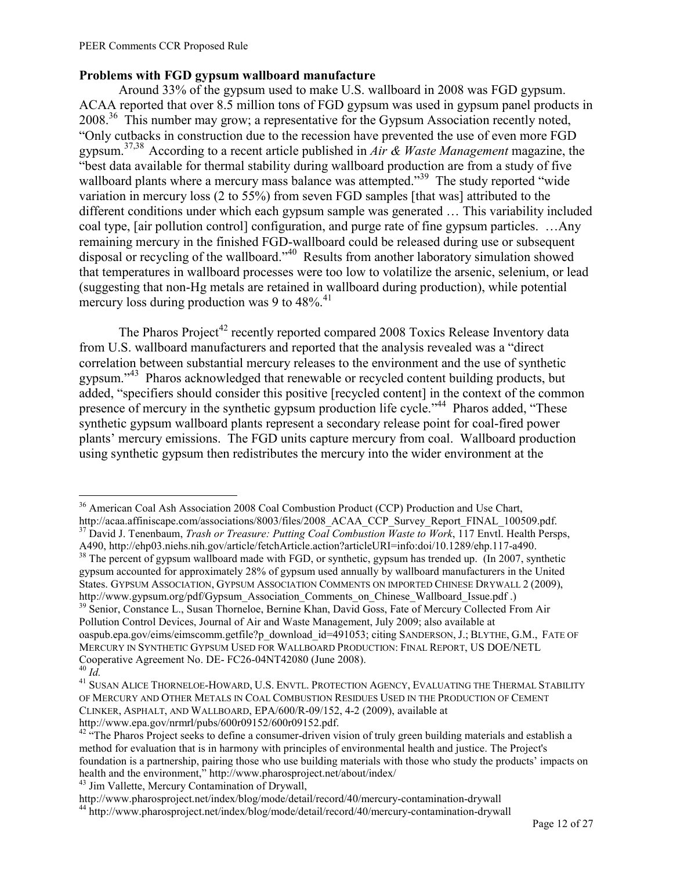## **Problems with FGD gypsum wallboard manufacture**

Around 33% of the gypsum used to make U.S. wallboard in 2008 was FGD gypsum. ACAA reported that over 8.5 million tons of FGD gypsum was used in gypsum panel products in 2008<sup>36</sup> This number may grow; a representative for the Gypsum Association recently noted, "Only cutbacks in construction due to the recession have prevented the use of even more FGD gypsum. 37,38 According to a recent article published in *Air & Waste Management* magazine, the "best data available for thermal stability during wallboard production are from a study of five wallboard plants where a mercury mass balance was attempted."<sup>39</sup> The study reported "wide variation in mercury loss (2 to 55%) from seven FGD samples [that was] attributed to the different conditions under which each gypsum sample was generated … This variability included coal type, [air pollution control] configuration, and purge rate of fine gypsum particles. …Any remaining mercury in the finished FGD-wallboard could be released during use or subsequent disposal or recycling of the wallboard."<sup>40</sup> Results from another laboratory simulation showed that temperatures in wallboard processes were too low to volatilize the arsenic, selenium, or lead (suggesting that non-Hg metals are retained in wallboard during production), while potential mercury loss during production was 9 to 48%.<sup>41</sup>

The Pharos Project<sup>42</sup> recently reported compared 2008 Toxics Release Inventory data from U.S. wallboard manufacturers and reported that the analysis revealed was a "direct correlation between substantial mercury releases to the environment and the use of synthetic gypsum."<sup>43</sup> Pharos acknowledged that renewable or recycled content building products, but added, "specifiers should consider this positive [recycled content] in the context of the common presence of mercury in the synthetic gypsum production life cycle."<sup>44</sup> Pharos added, "These synthetic gypsum wallboard plants represent a secondary release point for coal-fired power plants' mercury emissions. The FGD units capture mercury from coal. Wallboard production using synthetic gypsum then redistributes the mercury into the wider environment at the

http://www.epa.gov/nrmrl/pubs/600r09152/600r09152.pdf.

<sup>43</sup> Jim Vallette, Mercury Contamination of Drywall,

 $\overline{a}$ <sup>36</sup> American Coal Ash Association 2008 Coal Combustion Product (CCP) Production and Use Chart,

http://acaa.affiniscape.com/associations/8003/files/2008\_ACAA\_CCP\_Survey\_Report\_FINAL\_100509.pdf. <sup>37</sup> David J. Tenenbaum, *Trash or Treasure: Putting Coal Combustion Waste to Work*, 117 Envtl. Health Persps, A490, http://ehp03.niehs.nih.gov/article/fetchArticle.action?articleURI=info:doi/10.1289/ehp.117-a490.

<sup>&</sup>lt;sup>38</sup> The percent of gypsum wallboard made with FGD, or synthetic, gypsum has trended up. (In 2007, synthetic gypsum accounted for approximately 28% of gypsum used annually by wallboard manufacturers in the United States. GYPSUM ASSOCIATION, GYPSUM ASSOCIATION COMMENTS ON IMPORTED CHINESE DRYWALL 2 (2009),

http://www.gypsum.org/pdf/Gypsum\_Association\_Comments\_on\_Chinese\_Wallboard\_Issue.pdf .) <sup>39</sup> Senior, Constance L., Susan Thorneloe, Bernine Khan, David Goss, Fate of Mercury Collected From Air Pollution Control Devices, Journal of Air and Waste Management, July 2009; also available at oaspub.epa.gov/eims/eimscomm.getfile?p\_download\_id=491053; citing SANDERSON, J.; BLYTHE, G.M., FATE OF MERCURY IN SYNTHETIC GYPSUM USED FOR WALLBOARD PRODUCTION: FINAL REPORT, US DOE/NETL Cooperative Agreement No. DE- FC26-04NT42080 (June 2008).

<sup>40</sup> *Id.*

<sup>41</sup> SUSAN ALICE THORNELOE-HOWARD, U.S. ENVTL. PROTECTION AGENCY, EVALUATING THE THERMAL STABILITY OF MERCURY AND OTHER METALS IN COAL COMBUSTION RESIDUES USED IN THE PRODUCTION OF CEMENT CLINKER, ASPHALT, AND WALLBOARD, EPA/600/R-09/152, 4-2 (2009), available at

 $42$  "The Pharos Project seeks to define a consumer-driven vision of truly green building materials and establish a method for evaluation that is in harmony with principles of environmental health and justice. The Project's foundation is a partnership, pairing those who use building materials with those who study the products' impacts on health and the environment," http://www.pharosproject.net/about/index/

http://www.pharosproject.net/index/blog/mode/detail/record/40/mercury-contamination-drywall <sup>44</sup> http://www.pharosproject.net/index/blog/mode/detail/record/40/mercury-contamination-drywall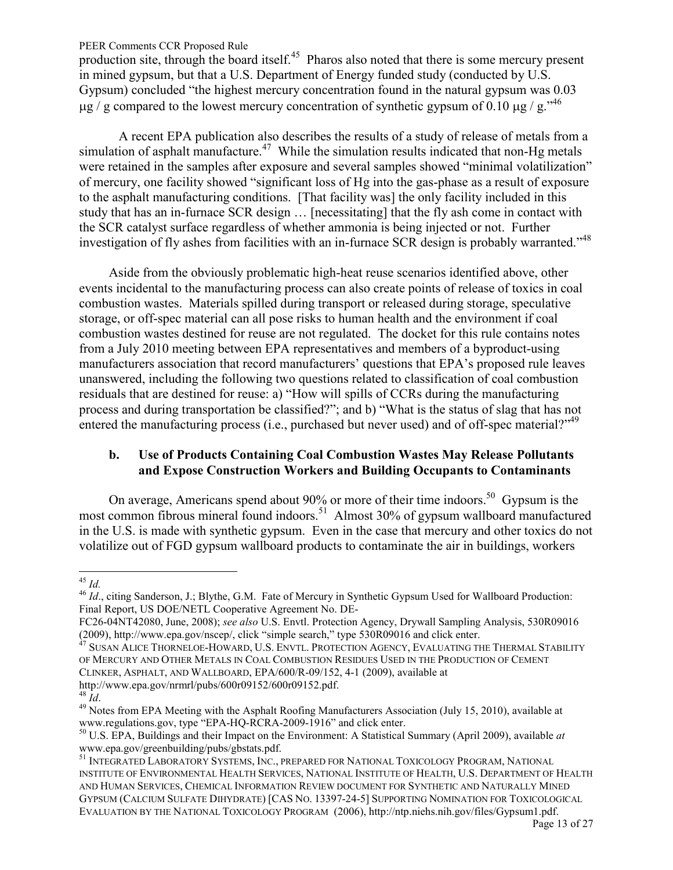<span id="page-12-0"></span>production site, through the board itself.<sup>45</sup> Pharos also noted that there is some mercury present in mined gypsum, but that a U.S. Department of Energy funded study (conducted by U.S. Gypsum) concluded "the highest mercury concentration found in the natural gypsum was 0.03  $\mu$ g / g compared to the lowest mercury concentration of synthetic gypsum of 0.10  $\mu$ g / g.<sup>146</sup>

A recent EPA publication also describes the results of a study of release of metals from a simulation of asphalt manufacture.<sup>47</sup> While the simulation results indicated that non-Hg metals were retained in the samples after exposure and several samples showed "minimal volatilization" of mercury, one facility showed "significant loss of Hg into the gas-phase as a result of exposure to the asphalt manufacturing conditions. [That facility was] the only facility included in this study that has an in-furnace SCR design … [necessitating] that the fly ash come in contact with the SCR catalyst surface regardless of whether ammonia is being injected or not. Further investigation of fly ashes from facilities with an in-furnace SCR design is probably warranted."<sup>48</sup>

Aside from the obviously problematic high-heat reuse scenarios identified above, other events incidental to the manufacturing process can also create points of release of toxics in coal combustion wastes. Materials spilled during transport or released during storage, speculative storage, or off-spec material can all pose risks to human health and the environment if coal combustion wastes destined for reuse are not regulated. The docket for this rule contains notes from a July 2010 meeting between EPA representatives and members of a byproduct-using manufacturers association that record manufacturers' questions that EPA's proposed rule leaves unanswered, including the following two questions related to classification of coal combustion residuals that are destined for reuse: a) "How will spills of CCRs during the manufacturing process and during transportation be classified?"; and b) "What is the status of slag that has not entered the manufacturing process (i.e., purchased but never used) and of off-spec material?"<sup>49</sup>

### **b. Use of Products Containing Coal Combustion Wastes May Release Pollutants and Expose Construction Workers and Building Occupants to Contaminants**

On average, Americans spend about 90% or more of their time indoors.<sup>50</sup> Gypsum is the most common fibrous mineral found indoors.<sup>51</sup> Almost 30% of gypsum wallboard manufactured in the U.S. is made with synthetic gypsum. Even in the case that mercury and other toxics do not volatilize out of FGD gypsum wallboard products to contaminate the air in buildings, workers

<sup>45</sup> *Id.*

<sup>&</sup>lt;sup>46</sup> *Id.*, citing Sanderson, J.; Blythe, G.M. Fate of Mercury in Synthetic Gypsum Used for Wallboard Production: Final Report, US DOE/NETL Cooperative Agreement No. DE-

FC26-04NT42080, June, 2008); *see also* U.S. Envtl. Protection Agency, Drywall Sampling Analysis, 530R09016 (2009), http://www.epa.gov/nscep/, click "simple search," type 530R09016 and click enter.

<sup>&</sup>lt;sup>47</sup> SUSAN ALICE THORNELOE-HOWARD, U.S. ENVTL. PROTECTION AGENCY, EVALUATING THE THERMAL STABILITY OF MERCURY AND OTHER METALS IN COAL COMBUSTION RESIDUES USED IN THE PRODUCTION OF CEMENT CLINKER, ASPHALT, AND WALLBOARD, EPA/600/R-09/152, 4-1 (2009), available at http://www.epa.gov/nrmrl/pubs/600r09152/600r09152.pdf.

 $^{48}$   $\dot{Id}$ .

<sup>&</sup>lt;sup>49</sup> Notes from EPA Meeting with the Asphalt Roofing Manufacturers Association (July 15, 2010), available at www.regulations.gov, type "EPA-HQ-RCRA-2009-1916" and click enter.

<sup>50</sup> U.S. EPA, Buildings and their Impact on the Environment: A Statistical Summary (April 2009), available *at*  www.epa.gov/greenbuilding/pubs/gbstats.pdf.

<sup>51</sup> INTEGRATED LABORATORY SYSTEMS, INC., PREPARED FOR NATIONAL TOXICOLOGY PROGRAM, NATIONAL INSTITUTE OF ENVIRONMENTAL HEALTH SERVICES, NATIONAL INSTITUTE OF HEALTH, U.S. DEPARTMENT OF HEALTH AND HUMAN SERVICES, CHEMICAL INFORMATION REVIEW DOCUMENT FOR SYNTHETIC AND NATURALLY MINED GYPSUM (CALCIUM SULFATE DIHYDRATE) [CAS NO. 13397-24-5] SUPPORTING NOMINATION FOR TOXICOLOGICAL EVALUATION BY THE NATIONAL TOXICOLOGY PROGRAM (2006), http://ntp.niehs.nih.gov/files/Gypsum1.pdf.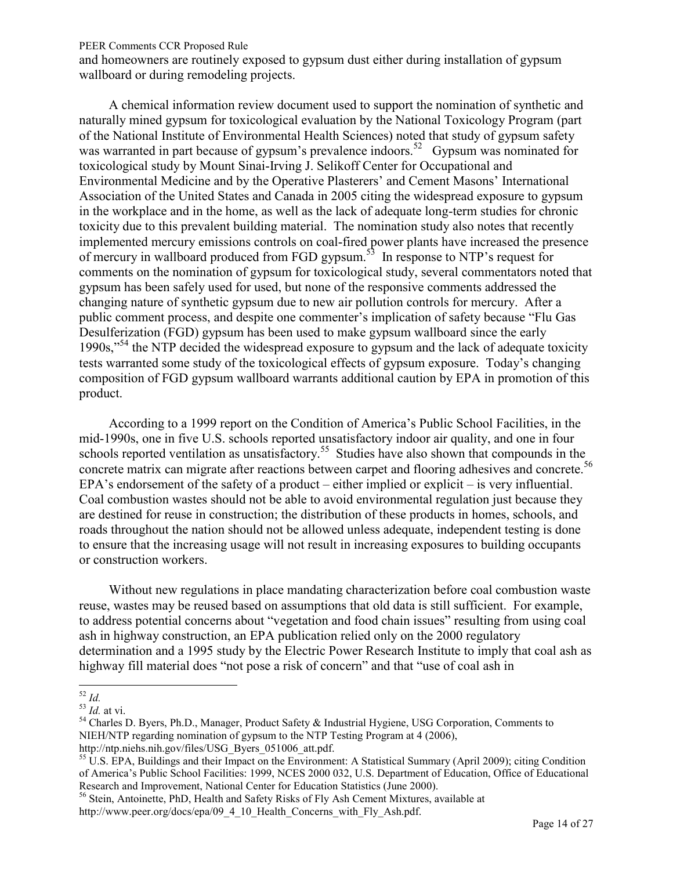and homeowners are routinely exposed to gypsum dust either during installation of gypsum wallboard or during remodeling projects.

A chemical information review document used to support the nomination of synthetic and naturally mined gypsum for toxicological evaluation by the National Toxicology Program (part of the National Institute of Environmental Health Sciences) noted that study of gypsum safety was warranted in part because of gypsum's prevalence indoors.<sup>52</sup> Gypsum was nominated for toxicological study by Mount Sinai-Irving J. Selikoff Center for Occupational and Environmental Medicine and by the Operative Plasterers' and Cement Masons' International Association of the United States and Canada in 2005 citing the widespread exposure to gypsum in the workplace and in the home, as well as the lack of adequate long-term studies for chronic toxicity due to this prevalent building material. The nomination study also notes that recently implemented mercury emissions controls on coal-fired power plants have increased the presence of mercury in wallboard produced from FGD gypsum.<sup>53</sup> In response to NTP's request for comments on the nomination of gypsum for toxicological study, several commentators noted that gypsum has been safely used for used, but none of the responsive comments addressed the changing nature of synthetic gypsum due to new air pollution controls for mercury. After a public comment process, and despite one commenter's implication of safety because "Flu Gas Desulferization (FGD) gypsum has been used to make gypsum wallboard since the early 1990s, $^{554}$  the NTP decided the widespread exposure to gypsum and the lack of adequate toxicity tests warranted some study of the toxicological effects of gypsum exposure. Today's changing composition of FGD gypsum wallboard warrants additional caution by EPA in promotion of this product.

According to a 1999 report on the Condition of America's Public School Facilities, in the mid-1990s, one in five U.S. schools reported unsatisfactory indoor air quality, and one in four schools reported ventilation as unsatisfactory.<sup>55</sup> Studies have also shown that compounds in the concrete matrix can migrate after reactions between carpet and flooring adhesives and concrete.<sup>56</sup> EPA's endorsement of the safety of a product – either implied or explicit – is very influential. Coal combustion wastes should not be able to avoid environmental regulation just because they are destined for reuse in construction; the distribution of these products in homes, schools, and roads throughout the nation should not be allowed unless adequate, independent testing is done to ensure that the increasing usage will not result in increasing exposures to building occupants or construction workers.

Without new regulations in place mandating characterization before coal combustion waste reuse, wastes may be reused based on assumptions that old data is still sufficient. For example, to address potential concerns about "vegetation and food chain issues" resulting from using coal ash in highway construction, an EPA publication relied only on the 2000 regulatory determination and a 1995 study by the Electric Power Research Institute to imply that coal ash as highway fill material does "not pose a risk of concern" and that "use of coal ash in

 $\overline{a}$ <sup>52</sup> *Id.*

<sup>53</sup> *Id.* at vi.

<sup>&</sup>lt;sup>54</sup> Charles D. Byers, Ph.D., Manager, Product Safety & Industrial Hygiene, USG Corporation, Comments to NIEH/NTP regarding nomination of gypsum to the NTP Testing Program at 4 (2006),

http://ntp.niehs.nih.gov/files/USG\_Byers\_051006\_att.pdf.

<sup>&</sup>lt;sup>55</sup> U.S. EPA, Buildings and their Impact on the Environment: A Statistical Summary (April 2009); citing Condition of America's Public School Facilities: 1999, NCES 2000 032, U.S. Department of Education, Office of Educational Research and Improvement, National Center for Education Statistics (June 2000).

<sup>56</sup> Stein, Antoinette, PhD, Health and Safety Risks of Fly Ash Cement Mixtures, available at http://www.peer.org/docs/epa/09\_4\_10\_Health\_Concerns\_with\_Fly\_Ash.pdf.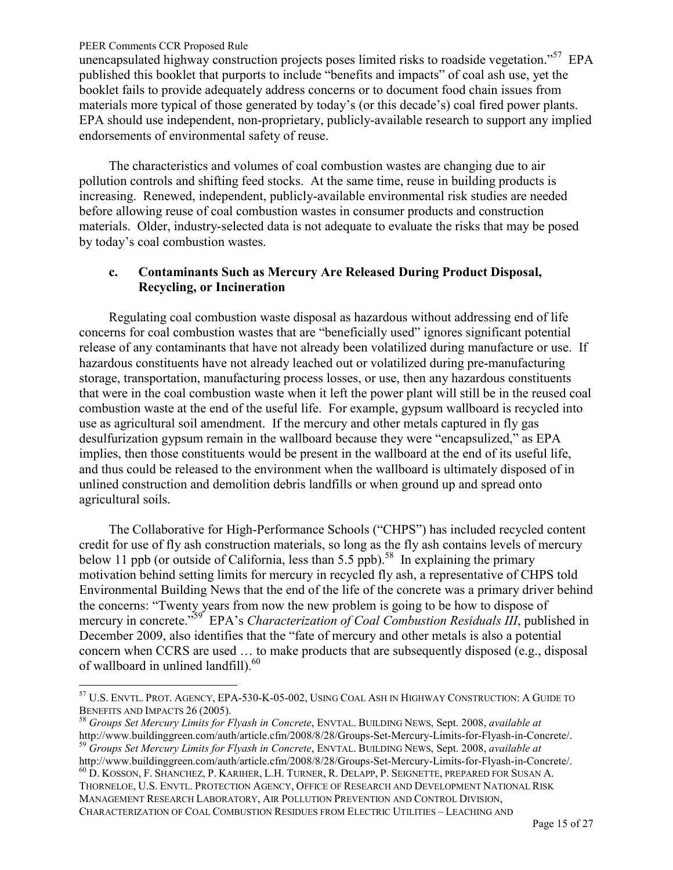$\overline{a}$ 

<span id="page-14-0"></span>unencapsulated highway construction projects poses limited risks to roadside vegetation."<sup>57</sup> EPA published this booklet that purports to include "benefits and impacts" of coal ash use, yet the booklet fails to provide adequately address concerns or to document food chain issues from materials more typical of those generated by today's (or this decade's) coal fired power plants. EPA should use independent, non-proprietary, publicly-available research to support any implied endorsements of environmental safety of reuse.

The characteristics and volumes of coal combustion wastes are changing due to air pollution controls and shifting feed stocks. At the same time, reuse in building products is increasing. Renewed, independent, publicly-available environmental risk studies are needed before allowing reuse of coal combustion wastes in consumer products and construction materials. Older, industry-selected data is not adequate to evaluate the risks that may be posed by today's coal combustion wastes.

## **c. Contaminants Such as Mercury Are Released During Product Disposal, Recycling, or Incineration**

Regulating coal combustion waste disposal as hazardous without addressing end of life concerns for coal combustion wastes that are "beneficially used" ignores significant potential release of any contaminants that have not already been volatilized during manufacture or use. If hazardous constituents have not already leached out or volatilized during pre-manufacturing storage, transportation, manufacturing process losses, or use, then any hazardous constituents that were in the coal combustion waste when it left the power plant will still be in the reused coal combustion waste at the end of the useful life. For example, gypsum wallboard is recycled into use as agricultural soil amendment. If the mercury and other metals captured in fly gas desulfurization gypsum remain in the wallboard because they were "encapsulized," as EPA implies, then those constituents would be present in the wallboard at the end of its useful life, and thus could be released to the environment when the wallboard is ultimately disposed of in unlined construction and demolition debris landfills or when ground up and spread onto agricultural soils.

The Collaborative for High-Performance Schools ("CHPS") has included recycled content credit for use of fly ash construction materials, so long as the fly ash contains levels of mercury below 11 ppb (or outside of California, less than 5.5 ppb).<sup>58</sup> In explaining the primary motivation behind setting limits for mercury in recycled fly ash, a representative of CHPS told Environmental Building News that the end of the life of the concrete was a primary driver behind the concerns: "Twenty years from now the new problem is going to be how to dispose of mercury in concrete."<sup>59</sup> EPA's *Characterization of Coal Combustion Residuals III*, published in December 2009, also identifies that the "fate of mercury and other metals is also a potential concern when CCRS are used … to make products that are subsequently disposed (e.g., disposal of wallboard in unlined landfill).<sup>60</sup>

 $^{57}$  U.S. Envtl. Prot. Agency, EPA-530-K-05-002, Using Coal Ash in Highway Construction: A Guide to BENEFITS AND IMPACTS 26 (2005).

<sup>58</sup> *Groups Set Mercury Limits for Flyash in Concrete*, ENVTAL. BUILDING NEWS, Sept. 2008, *available at* http://www.buildinggreen.com/auth/article.cfm/2008/8/28/Groups-Set-Mercury-Limits-for-Flyash-in-Concrete/. <sup>59</sup> *Groups Set Mercury Limits for Flyash in Concrete*, ENVTAL. BUILDING NEWS, Sept. 2008, *available at*

http://www.buildinggreen.com/auth/article.cfm/2008/8/28/Groups-Set-Mercury-Limits-for-Flyash-in-Concrete/. <sup>60</sup> D. KOSSON, F. SHANCHEZ, P. KARIHER, L.H. TURNER, R. DELAPP, P. SEIGNETTE, PREPARED FOR SUSAN A.

THORNELOE, U.S. ENVTL. PROTECTION AGENCY, OFFICE OF RESEARCH AND DEVELOPMENT NATIONAL RISK MANAGEMENT RESEARCH LABORATORY, AIR POLLUTION PREVENTION AND CONTROL DIVISION, CHARACTERIZATION OF COAL COMBUSTION RESIDUES FROM ELECTRIC UTILITIES – LEACHING AND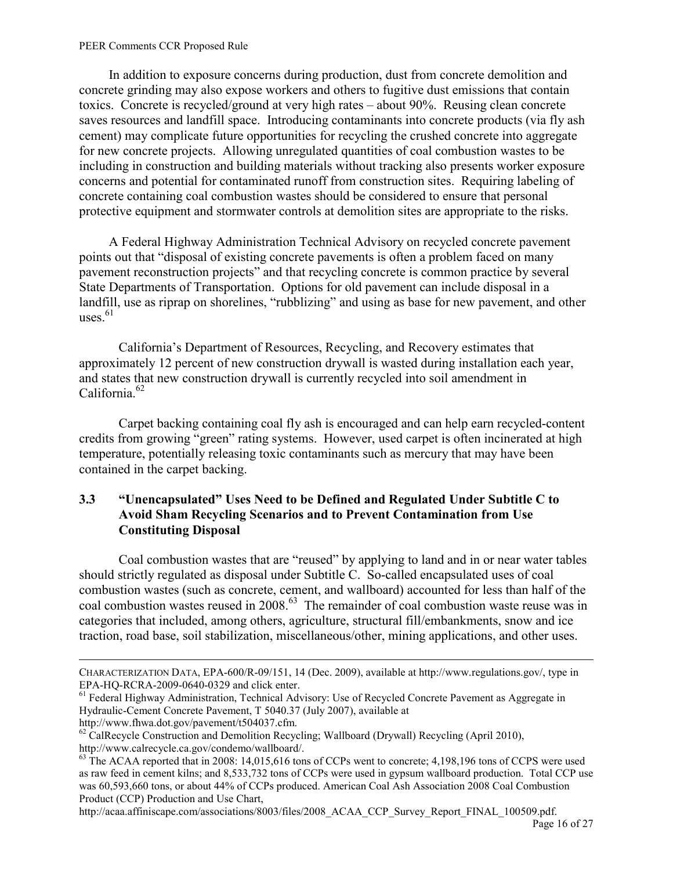<span id="page-15-0"></span>In addition to exposure concerns during production, dust from concrete demolition and concrete grinding may also expose workers and others to fugitive dust emissions that contain toxics. Concrete is recycled/ground at very high rates – about 90%. Reusing clean concrete saves resources and landfill space. Introducing contaminants into concrete products (via fly ash cement) may complicate future opportunities for recycling the crushed concrete into aggregate for new concrete projects. Allowing unregulated quantities of coal combustion wastes to be including in construction and building materials without tracking also presents worker exposure concerns and potential for contaminated runoff from construction sites. Requiring labeling of concrete containing coal combustion wastes should be considered to ensure that personal protective equipment and stormwater controls at demolition sites are appropriate to the risks.

A Federal Highway Administration Technical Advisory on recycled concrete pavement points out that "disposal of existing concrete pavements is often a problem faced on many pavement reconstruction projects" and that recycling concrete is common practice by several State Departments of Transportation. Options for old pavement can include disposal in a landfill, use as riprap on shorelines, "rubblizing" and using as base for new pavement, and other uses. $61$ 

California's Department of Resources, Recycling, and Recovery estimates that approximately 12 percent of new construction drywall is wasted during installation each year, and states that new construction drywall is currently recycled into soil amendment in California.<sup>62</sup>

Carpet backing containing coal fly ash is encouraged and can help earn recycled-content credits from growing "green" rating systems. However, used carpet is often incinerated at high temperature, potentially releasing toxic contaminants such as mercury that may have been contained in the carpet backing.

## **3.3 "Unencapsulated" Uses Need to be Defined and Regulated Under Subtitle C to Avoid Sham Recycling Scenarios and to Prevent Contamination from Use Constituting Disposal**

Coal combustion wastes that are "reused" by applying to land and in or near water tables should strictly regulated as disposal under Subtitle C. So-called encapsulated uses of coal combustion wastes (such as concrete, cement, and wallboard) accounted for less than half of the coal combustion wastes reused in 2008.<sup>63</sup> The remainder of coal combustion waste reuse was in categories that included, among others, agriculture, structural fill/embankments, snow and ice traction, road base, soil stabilization, miscellaneous/other, mining applications, and other uses.

 $\overline{a}$ 

http://acaa.affiniscape.com/associations/8003/files/2008\_ACAA\_CCP\_Survey\_Report\_FINAL\_100509.pdf.

CHARACTERIZATION DATA, EPA-600/R-09/151, 14 (Dec. 2009), available at http://www.regulations.gov/, type in EPA-HQ-RCRA-2009-0640-0329 and click enter.

<sup>&</sup>lt;sup>61</sup> Federal Highway Administration, Technical Advisory: Use of Recycled Concrete Pavement as Aggregate in Hydraulic-Cement Concrete Pavement, T 5040.37 (July 2007), available at

http://www.fhwa.dot.gov/pavement/t504037.cfm.

 $62$  CalRecycle Construction and Demolition Recycling; Wallboard (Drywall) Recycling (April 2010), http://www.calrecycle.ca.gov/condemo/wallboard/.

 $63$  The ACAA reported that in 2008: 14,015,616 tons of CCPs went to concrete; 4,198,196 tons of CCPS were used as raw feed in cement kilns; and 8,533,732 tons of CCPs were used in gypsum wallboard production. Total CCP use was 60,593,660 tons, or about 44% of CCPs produced. American Coal Ash Association 2008 Coal Combustion Product (CCP) Production and Use Chart,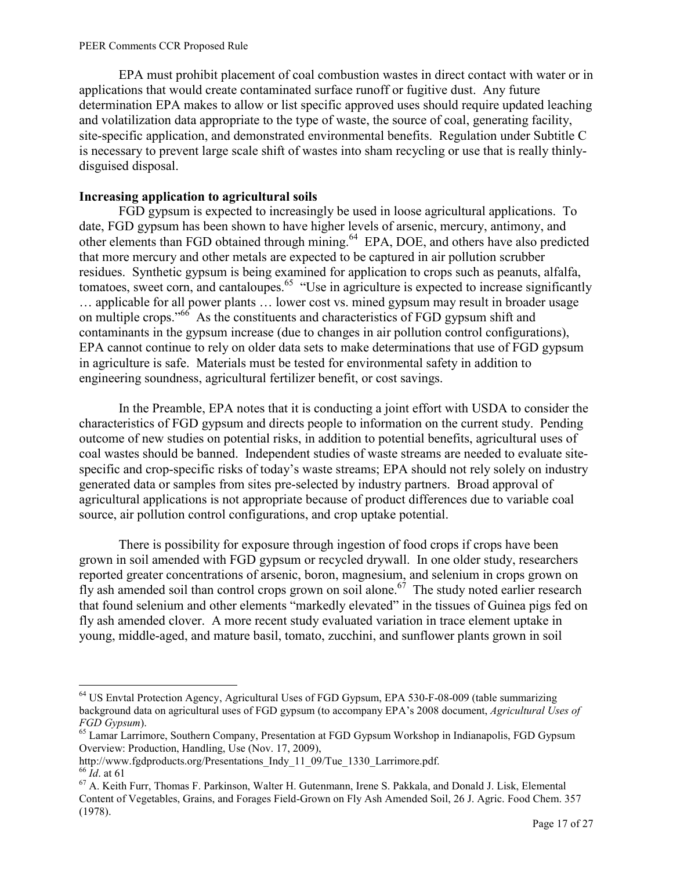EPA must prohibit placement of coal combustion wastes in direct contact with water or in applications that would create contaminated surface runoff or fugitive dust. Any future determination EPA makes to allow or list specific approved uses should require updated leaching and volatilization data appropriate to the type of waste, the source of coal, generating facility, site-specific application, and demonstrated environmental benefits. Regulation under Subtitle C is necessary to prevent large scale shift of wastes into sham recycling or use that is really thinlydisguised disposal.

## **Increasing application to agricultural soils**

FGD gypsum is expected to increasingly be used in loose agricultural applications. To date, FGD gypsum has been shown to have higher levels of arsenic, mercury, antimony, and other elements than FGD obtained through mining.<sup>64</sup> EPA, DOE, and others have also predicted that more mercury and other metals are expected to be captured in air pollution scrubber residues. Synthetic gypsum is being examined for application to crops such as peanuts, alfalfa, tomatoes, sweet corn, and cantaloupes.<sup>65</sup> "Use in agriculture is expected to increase significantly … applicable for all power plants … lower cost vs. mined gypsum may result in broader usage on multiple crops."<sup>66</sup> As the constituents and characteristics of FGD gypsum shift and contaminants in the gypsum increase (due to changes in air pollution control configurations), EPA cannot continue to rely on older data sets to make determinations that use of FGD gypsum in agriculture is safe. Materials must be tested for environmental safety in addition to engineering soundness, agricultural fertilizer benefit, or cost savings.

In the Preamble, EPA notes that it is conducting a joint effort with USDA to consider the characteristics of FGD gypsum and directs people to information on the current study. Pending outcome of new studies on potential risks, in addition to potential benefits, agricultural uses of coal wastes should be banned. Independent studies of waste streams are needed to evaluate sitespecific and crop-specific risks of today's waste streams; EPA should not rely solely on industry generated data or samples from sites pre-selected by industry partners. Broad approval of agricultural applications is not appropriate because of product differences due to variable coal source, air pollution control configurations, and crop uptake potential.

There is possibility for exposure through ingestion of food crops if crops have been grown in soil amended with FGD gypsum or recycled drywall. In one older study, researchers reported greater concentrations of arsenic, boron, magnesium, and selenium in crops grown on fly ash amended soil than control crops grown on soil alone.<sup>67</sup> The study noted earlier research that found selenium and other elements "markedly elevated" in the tissues of Guinea pigs fed on fly ash amended clover. A more recent study evaluated variation in trace element uptake in young, middle-aged, and mature basil, tomato, zucchini, and sunflower plants grown in soil

 $\overline{a}$ <sup>64</sup> US Envtal Protection Agency, Agricultural Uses of FGD Gypsum, EPA 530-F-08-009 (table summarizing background data on agricultural uses of FGD gypsum (to accompany EPA's 2008 document, *Agricultural Uses of FGD Gypsum*).

<sup>&</sup>lt;sup>65</sup> Lamar Larrimore, Southern Company, Presentation at FGD Gypsum Workshop in Indianapolis, FGD Gypsum Overview: Production, Handling, Use (Nov. 17, 2009),

http://www.fgdproducts.org/Presentations Indy 11\_09/Tue\_1330\_Larrimore.pdf. <sup>66</sup> *Id*. at 61

<sup>67</sup> A. Keith Furr, Thomas F. Parkinson, Walter H. Gutenmann, Irene S. Pakkala, and Donald J. Lisk, Elemental Content of Vegetables, Grains, and Forages Field-Grown on Fly Ash Amended Soil, 26 J. Agric. Food Chem. 357 (1978).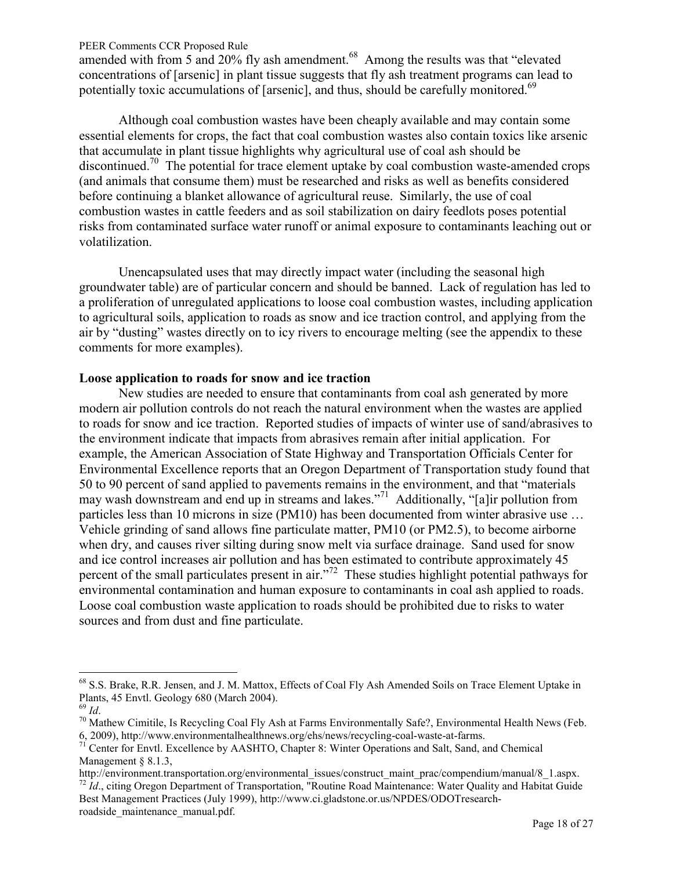amended with from 5 and 20% fly ash amendment.<sup>68</sup> Among the results was that "elevated" concentrations of [arsenic] in plant tissue suggests that fly ash treatment programs can lead to potentially toxic accumulations of [arsenic], and thus, should be carefully monitored.<sup>69</sup>

Although coal combustion wastes have been cheaply available and may contain some essential elements for crops, the fact that coal combustion wastes also contain toxics like arsenic that accumulate in plant tissue highlights why agricultural use of coal ash should be discontinued.<sup>70</sup> The potential for trace element uptake by coal combustion waste-amended crops (and animals that consume them) must be researched and risks as well as benefits considered before continuing a blanket allowance of agricultural reuse. Similarly, the use of coal combustion wastes in cattle feeders and as soil stabilization on dairy feedlots poses potential risks from contaminated surface water runoff or animal exposure to contaminants leaching out or volatilization.

Unencapsulated uses that may directly impact water (including the seasonal high groundwater table) are of particular concern and should be banned. Lack of regulation has led to a proliferation of unregulated applications to loose coal combustion wastes, including application to agricultural soils, application to roads as snow and ice traction control, and applying from the air by "dusting" wastes directly on to icy rivers to encourage melting (see the appendix to these comments for more examples).

## **Loose application to roads for snow and ice traction**

New studies are needed to ensure that contaminants from coal ash generated by more modern air pollution controls do not reach the natural environment when the wastes are applied to roads for snow and ice traction. Reported studies of impacts of winter use of sand/abrasives to the environment indicate that impacts from abrasives remain after initial application. For example, the American Association of State Highway and Transportation Officials Center for Environmental Excellence reports that an Oregon Department of Transportation study found that 50 to 90 percent of sand applied to pavements remains in the environment, and that "materials may wash downstream and end up in streams and lakes."<sup>71</sup> Additionally, "[a]ir pollution from particles less than 10 microns in size (PM10) has been documented from winter abrasive use … Vehicle grinding of sand allows fine particulate matter, PM10 (or PM2.5), to become airborne when dry, and causes river silting during snow melt via surface drainage. Sand used for snow and ice control increases air pollution and has been estimated to contribute approximately 45 percent of the small particulates present in air."<sup>72</sup> These studies highlight potential pathways for environmental contamination and human exposure to contaminants in coal ash applied to roads. Loose coal combustion waste application to roads should be prohibited due to risks to water sources and from dust and fine particulate.

<sup>&</sup>lt;sup>68</sup> S.S. Brake, R.R. Jensen, and J. M. Mattox, Effects of Coal Fly Ash Amended Soils on Trace Element Uptake in Plants, 45 Envtl. Geology 680 (March 2004).

<sup>69</sup> *Id*.

<sup>70</sup> Mathew Cimitile, Is Recycling Coal Fly Ash at Farms Environmentally Safe?, Environmental Health News (Feb. 6, 2009), http://www.environmentalhealthnews.org/ehs/news/recycling-coal-waste-at-farms.

<sup>&</sup>lt;sup>71</sup> Center for Envtl. Excellence by AASHTO, Chapter 8: Winter Operations and Salt, Sand, and Chemical Management § 8.1.3,

http://environment.transportation.org/environmental\_issues/construct\_maint\_prac/compendium/manual/8\_1.aspx.

<sup>&</sup>lt;sup>72</sup> *Id.*, citing Oregon Department of Transportation, "Routine Road Maintenance: Water Quality and Habitat Guide Best Management Practices (July 1999), http://www.ci.gladstone.or.us/NPDES/ODOTresearchroadside\_maintenance\_manual.pdf.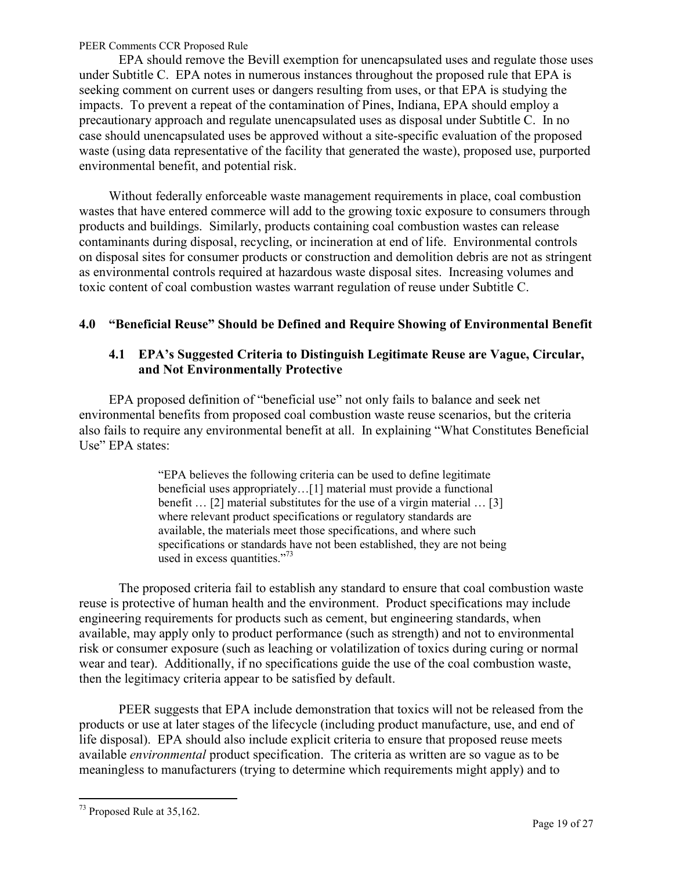<span id="page-18-0"></span>EPA should remove the Bevill exemption for unencapsulated uses and regulate those uses under Subtitle C. EPA notes in numerous instances throughout the proposed rule that EPA is seeking comment on current uses or dangers resulting from uses, or that EPA is studying the impacts. To prevent a repeat of the contamination of Pines, Indiana, EPA should employ a precautionary approach and regulate unencapsulated uses as disposal under Subtitle C. In no case should unencapsulated uses be approved without a site-specific evaluation of the proposed waste (using data representative of the facility that generated the waste), proposed use, purported environmental benefit, and potential risk.

Without federally enforceable waste management requirements in place, coal combustion wastes that have entered commerce will add to the growing toxic exposure to consumers through products and buildings. Similarly, products containing coal combustion wastes can release contaminants during disposal, recycling, or incineration at end of life. Environmental controls on disposal sites for consumer products or construction and demolition debris are not as stringent as environmental controls required at hazardous waste disposal sites. Increasing volumes and toxic content of coal combustion wastes warrant regulation of reuse under Subtitle C.

## **4.0 "Beneficial Reuse" Should be Defined and Require Showing of Environmental Benefit**

## **4.1 EPA's Suggested Criteria to Distinguish Legitimate Reuse are Vague, Circular, and Not Environmentally Protective**

EPA proposed definition of "beneficial use" not only fails to balance and seek net environmental benefits from proposed coal combustion waste reuse scenarios, but the criteria also fails to require any environmental benefit at all. In explaining "What Constitutes Beneficial Use" EPA states:

> "EPA believes the following criteria can be used to define legitimate beneficial uses appropriately…[1] material must provide a functional benefit … [2] material substitutes for the use of a virgin material … [3] where relevant product specifications or regulatory standards are available, the materials meet those specifications, and where such specifications or standards have not been established, they are not being used in excess quantities."<sup>73</sup>

The proposed criteria fail to establish any standard to ensure that coal combustion waste reuse is protective of human health and the environment. Product specifications may include engineering requirements for products such as cement, but engineering standards, when available, may apply only to product performance (such as strength) and not to environmental risk or consumer exposure (such as leaching or volatilization of toxics during curing or normal wear and tear). Additionally, if no specifications guide the use of the coal combustion waste, then the legitimacy criteria appear to be satisfied by default.

PEER suggests that EPA include demonstration that toxics will not be released from the products or use at later stages of the lifecycle (including product manufacture, use, and end of life disposal). EPA should also include explicit criteria to ensure that proposed reuse meets available *environmental* product specification. The criteria as written are so vague as to be meaningless to manufacturers (trying to determine which requirements might apply) and to

 $\overline{a}$  $73$  Proposed Rule at 35,162.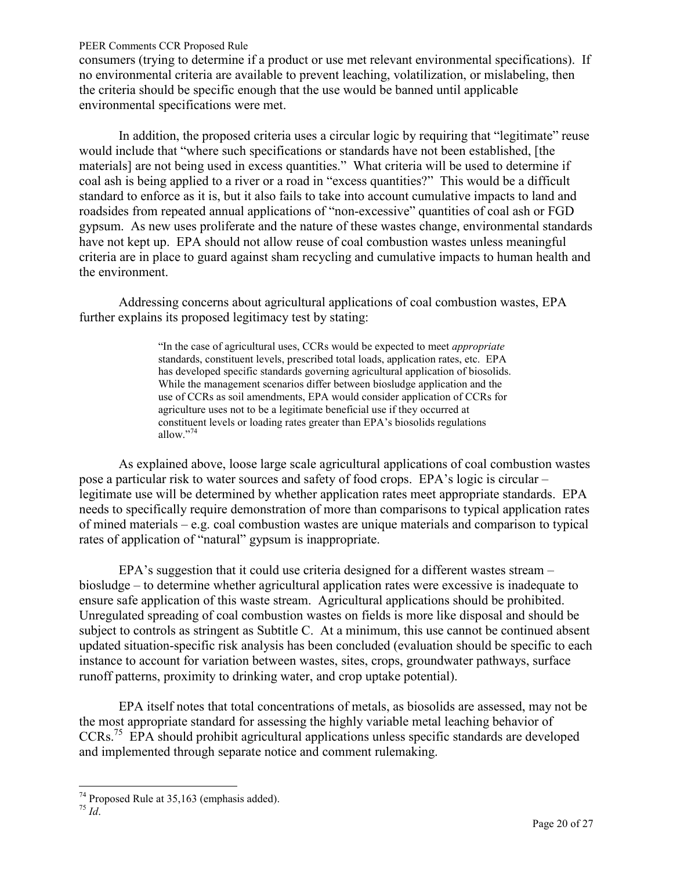consumers (trying to determine if a product or use met relevant environmental specifications). If no environmental criteria are available to prevent leaching, volatilization, or mislabeling, then the criteria should be specific enough that the use would be banned until applicable environmental specifications were met.

In addition, the proposed criteria uses a circular logic by requiring that "legitimate" reuse would include that "where such specifications or standards have not been established, [the materials] are not being used in excess quantities." What criteria will be used to determine if coal ash is being applied to a river or a road in "excess quantities?" This would be a difficult standard to enforce as it is, but it also fails to take into account cumulative impacts to land and roadsides from repeated annual applications of "non-excessive" quantities of coal ash or FGD gypsum. As new uses proliferate and the nature of these wastes change, environmental standards have not kept up. EPA should not allow reuse of coal combustion wastes unless meaningful criteria are in place to guard against sham recycling and cumulative impacts to human health and the environment.

Addressing concerns about agricultural applications of coal combustion wastes, EPA further explains its proposed legitimacy test by stating:

> "In the case of agricultural uses, CCRs would be expected to meet *appropriate* standards, constituent levels, prescribed total loads, application rates, etc. EPA has developed specific standards governing agricultural application of biosolids. While the management scenarios differ between biosludge application and the use of CCRs as soil amendments, EPA would consider application of CCRs for agriculture uses not to be a legitimate beneficial use if they occurred at constituent levels or loading rates greater than EPA's biosolids regulations allow."<sup>74</sup>

As explained above, loose large scale agricultural applications of coal combustion wastes pose a particular risk to water sources and safety of food crops. EPA's logic is circular – legitimate use will be determined by whether application rates meet appropriate standards. EPA needs to specifically require demonstration of more than comparisons to typical application rates of mined materials – e.g. coal combustion wastes are unique materials and comparison to typical rates of application of "natural" gypsum is inappropriate.

EPA's suggestion that it could use criteria designed for a different wastes stream – biosludge – to determine whether agricultural application rates were excessive is inadequate to ensure safe application of this waste stream. Agricultural applications should be prohibited. Unregulated spreading of coal combustion wastes on fields is more like disposal and should be subject to controls as stringent as Subtitle C. At a minimum, this use cannot be continued absent updated situation-specific risk analysis has been concluded (evaluation should be specific to each instance to account for variation between wastes, sites, crops, groundwater pathways, surface runoff patterns, proximity to drinking water, and crop uptake potential).

EPA itself notes that total concentrations of metals, as biosolids are assessed, may not be the most appropriate standard for assessing the highly variable metal leaching behavior of CCRs.<sup>75</sup> EPA should prohibit agricultural applications unless specific standards are developed and implemented through separate notice and comment rulemaking.

 $\overline{a}$  $74$  Proposed Rule at 35,163 (emphasis added).

<sup>75</sup> *Id*.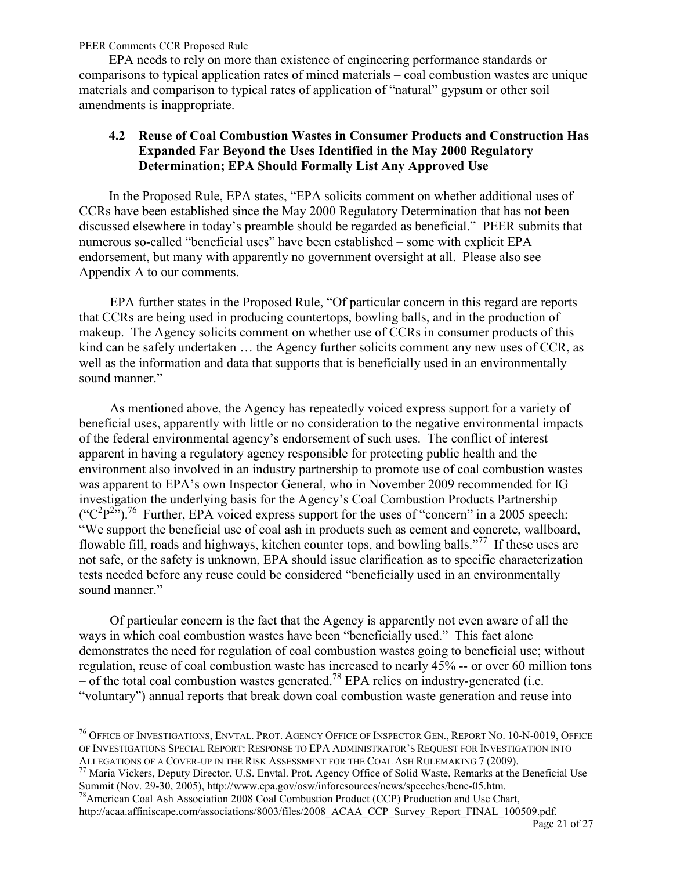$\overline{a}$ 

<span id="page-20-0"></span>EPA needs to rely on more than existence of engineering performance standards or comparisons to typical application rates of mined materials – coal combustion wastes are unique materials and comparison to typical rates of application of "natural" gypsum or other soil amendments is inappropriate.

## **4.2 Reuse of Coal Combustion Wastes in Consumer Products and Construction Has Expanded Far Beyond the Uses Identified in the May 2000 Regulatory Determination; EPA Should Formally List Any Approved Use**

In the Proposed Rule, EPA states, "EPA solicits comment on whether additional uses of CCRs have been established since the May 2000 Regulatory Determination that has not been discussed elsewhere in today's preamble should be regarded as beneficial." PEER submits that numerous so-called "beneficial uses" have been established – some with explicit EPA endorsement, but many with apparently no government oversight at all. Please also see Appendix A to our comments.

 EPA further states in the Proposed Rule, "Of particular concern in this regard are reports that CCRs are being used in producing countertops, bowling balls, and in the production of makeup. The Agency solicits comment on whether use of CCRs in consumer products of this kind can be safely undertaken … the Agency further solicits comment any new uses of CCR, as well as the information and data that supports that is beneficially used in an environmentally sound manner."

 As mentioned above, the Agency has repeatedly voiced express support for a variety of beneficial uses, apparently with little or no consideration to the negative environmental impacts of the federal environmental agency's endorsement of such uses. The conflict of interest apparent in having a regulatory agency responsible for protecting public health and the environment also involved in an industry partnership to promote use of coal combustion wastes was apparent to EPA's own Inspector General, who in November 2009 recommended for IG investigation the underlying basis for the Agency's Coal Combustion Products Partnership  $({}^{\circ}C^{2}P^{2\prime})$ .<sup>76</sup> Further, EPA voiced express support for the uses of "concern" in a 2005 speech: "We support the beneficial use of coal ash in products such as cement and concrete, wallboard, flowable fill, roads and highways, kitchen counter tops, and bowling balls."<sup>77</sup> If these uses are not safe, or the safety is unknown, EPA should issue clarification as to specific characterization tests needed before any reuse could be considered "beneficially used in an environmentally sound manner."

 Of particular concern is the fact that the Agency is apparently not even aware of all the ways in which coal combustion wastes have been "beneficially used." This fact alone demonstrates the need for regulation of coal combustion wastes going to beneficial use; without regulation, reuse of coal combustion waste has increased to nearly 45% -- or over 60 million tons – of the total coal combustion wastes generated.<sup>78</sup> EPA relies on industry-generated (i.e. "voluntary") annual reports that break down coal combustion waste generation and reuse into

 $^{77}$  Maria Vickers, Deputy Director, U.S. Envtal. Prot. Agency Office of Solid Waste, Remarks at the Beneficial Use Summit (Nov. 29-30, 2005), http://www.epa.gov/osw/inforesources/news/speeches/bene-05.htm.

<sup>&</sup>lt;sup>76</sup> Office of Investigations, Envtal. Prot. Agency Office of Inspector Gen., Report No. 10-N-0019, Office OF INVESTIGATIONS SPECIAL REPORT: RESPONSE TO EPA ADMINISTRATOR'S REQUEST FOR INVESTIGATION INTO ALLEGATIONS OF A COVER-UP IN THE RISK ASSESSMENT FOR THE COAL ASH RULEMAKING 7 (2009).

<sup>&</sup>lt;sup>78</sup> American Coal Ash Association 2008 Coal Combustion Product (CCP) Production and Use Chart, http://acaa.affiniscape.com/associations/8003/files/2008\_ACAA\_CCP\_Survey\_Report\_FINAL\_100509.pdf.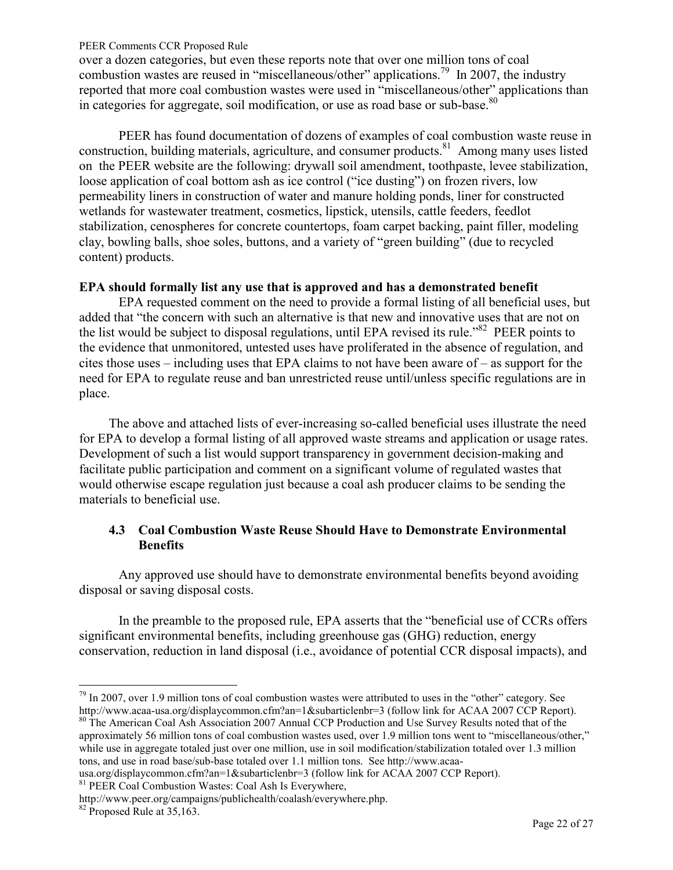<span id="page-21-0"></span>over a dozen categories, but even these reports note that over one million tons of coal combustion wastes are reused in "miscellaneous/other" applications.<sup>79</sup> In 2007, the industry reported that more coal combustion wastes were used in "miscellaneous/other" applications than in categories for aggregate, soil modification, or use as road base or sub-base.<sup>80</sup>

PEER has found documentation of dozens of examples of coal combustion waste reuse in construction, building materials, agriculture, and consumer products.<sup>81</sup> Among many uses listed on the PEER website are the following: drywall soil amendment, toothpaste, levee stabilization, loose application of coal bottom ash as ice control ("ice dusting") on frozen rivers, low permeability liners in construction of water and manure holding ponds, liner for constructed wetlands for wastewater treatment, cosmetics, lipstick, utensils, cattle feeders, feedlot stabilization, cenospheres for concrete countertops, foam carpet backing, paint filler, modeling clay, bowling balls, shoe soles, buttons, and a variety of "green building" (due to recycled content) products.

### **EPA should formally list any use that is approved and has a demonstrated benefit**

EPA requested comment on the need to provide a formal listing of all beneficial uses, but added that "the concern with such an alternative is that new and innovative uses that are not on the list would be subject to disposal regulations, until EPA revised its rule.<sup>82</sup> PEER points to the evidence that unmonitored, untested uses have proliferated in the absence of regulation, and cites those uses – including uses that EPA claims to not have been aware of – as support for the need for EPA to regulate reuse and ban unrestricted reuse until/unless specific regulations are in place.

The above and attached lists of ever-increasing so-called beneficial uses illustrate the need for EPA to develop a formal listing of all approved waste streams and application or usage rates. Development of such a list would support transparency in government decision-making and facilitate public participation and comment on a significant volume of regulated wastes that would otherwise escape regulation just because a coal ash producer claims to be sending the materials to beneficial use.

# **4.3 Coal Combustion Waste Reuse Should Have to Demonstrate Environmental Benefits**

Any approved use should have to demonstrate environmental benefits beyond avoiding disposal or saving disposal costs.

In the preamble to the proposed rule, EPA asserts that the "beneficial use of CCRs offers significant environmental benefits, including greenhouse gas (GHG) reduction, energy conservation, reduction in land disposal (i.e., avoidance of potential CCR disposal impacts), and

<sup>80</sup> The American Coal Ash Association 2007 Annual CCP Production and Use Survey Results noted that of the approximately 56 million tons of coal combustion wastes used, over 1.9 million tons went to "miscellaneous/other," while use in aggregate totaled just over one million, use in soil modification/stabilization totaled over 1.3 million tons, and use in road base/sub-base totaled over 1.1 million tons. See http://www.acaa-

usa.org/displaycommon.cfm?an=1&subarticlenbr=3 (follow link for ACAA 2007 CCP Report).

<sup>81</sup> PEER Coal Combustion Wastes: Coal Ash Is Everywhere,

 $\overline{a}$  $79$  In 2007, over 1.9 million tons of coal combustion wastes were attributed to uses in the "other" category. See http://www.acaa-usa.org/displaycommon.cfm?an=1&subarticlenbr=3 (follow link for ACAA 2007 CCP Report).

http://www.peer.org/campaigns/publichealth/coalash/everywhere.php.

 $82$  Proposed Rule at  $35,163$ .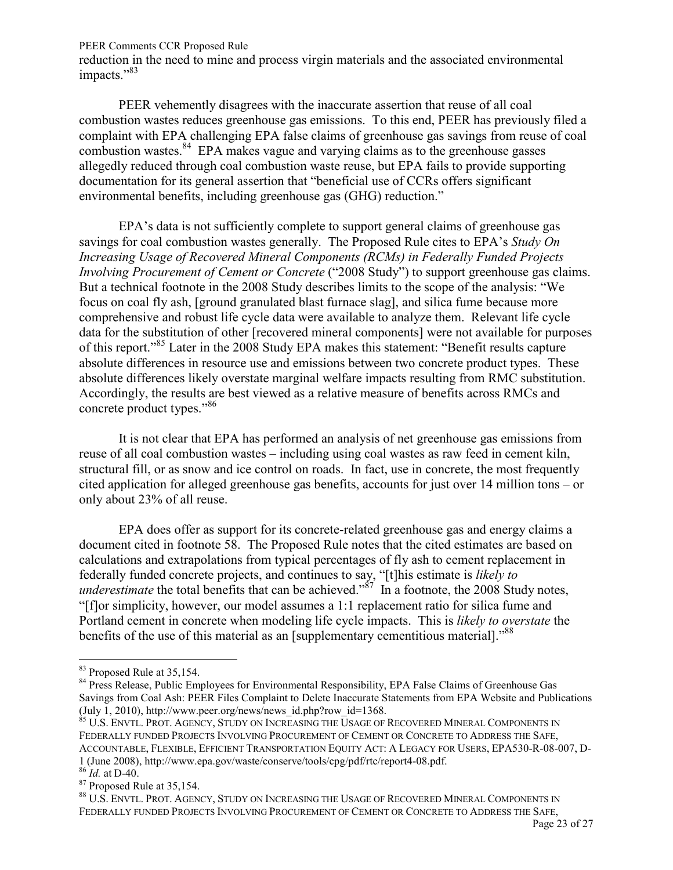reduction in the need to mine and process virgin materials and the associated environmental impacts."<sup>83</sup>

PEER vehemently disagrees with the inaccurate assertion that reuse of all coal combustion wastes reduces greenhouse gas emissions. To this end, PEER has previously filed a complaint with EPA challenging EPA false claims of greenhouse gas savings from reuse of coal combustion wastes.<sup>84</sup> EPA makes vague and varying claims as to the greenhouse gasses allegedly reduced through coal combustion waste reuse, but EPA fails to provide supporting documentation for its general assertion that "beneficial use of CCRs offers significant environmental benefits, including greenhouse gas (GHG) reduction."

EPA's data is not sufficiently complete to support general claims of greenhouse gas savings for coal combustion wastes generally. The Proposed Rule cites to EPA's *Study On Increasing Usage of Recovered Mineral Components (RCMs) in Federally Funded Projects Involving Procurement of Cement or Concrete* ("2008 Study") to support greenhouse gas claims. But a technical footnote in the 2008 Study describes limits to the scope of the analysis: "We focus on coal fly ash, [ground granulated blast furnace slag], and silica fume because more comprehensive and robust life cycle data were available to analyze them. Relevant life cycle data for the substitution of other [recovered mineral components] were not available for purposes of this report."<sup>85</sup> Later in the 2008 Study EPA makes this statement: "Benefit results capture absolute differences in resource use and emissions between two concrete product types. These absolute differences likely overstate marginal welfare impacts resulting from RMC substitution. Accordingly, the results are best viewed as a relative measure of benefits across RMCs and concrete product types."<sup>86</sup>

It is not clear that EPA has performed an analysis of net greenhouse gas emissions from reuse of all coal combustion wastes – including using coal wastes as raw feed in cement kiln, structural fill, or as snow and ice control on roads. In fact, use in concrete, the most frequently cited application for alleged greenhouse gas benefits, accounts for just over 14 million tons – or only about 23% of all reuse.

EPA does offer as support for its concrete-related greenhouse gas and energy claims a document cited in footnote 58. The Proposed Rule notes that the cited estimates are based on calculations and extrapolations from typical percentages of fly ash to cement replacement in federally funded concrete projects, and continues to say, "[t]his estimate is *likely to underestimate* the total benefits that can be achieved."<sup>87</sup> In a footnote, the 2008 Study notes, "[f]or simplicity, however, our model assumes a 1:1 replacement ratio for silica fume and Portland cement in concrete when modeling life cycle impacts. This is *likely to overstate* the benefits of the use of this material as an [supplementary cementitious material]."<sup>88</sup>

<sup>&</sup>lt;sup>83</sup> Proposed Rule at 35,154.

<sup>&</sup>lt;sup>84</sup> Press Release, Public Employees for Environmental Responsibility, EPA False Claims of Greenhouse Gas Savings from Coal Ash: PEER Files Complaint to Delete Inaccurate Statements from EPA Website and Publications (July 1, 2010), http://www.peer.org/news/news\_id.php?row\_id=1368.

 $^{85}$  U.S. Envtl. Prot. Agency, Study on Increasing the Usage of Recovered Mineral Components in FEDERALLY FUNDED PROJECTS INVOLVING PROCUREMENT OF CEMENT OR CONCRETE TO ADDRESS THE SAFE, ACCOUNTABLE, FLEXIBLE, EFFICIENT TRANSPORTATION EQUITY ACT: A LEGACY FOR USERS, EPA530-R-08-007, D-1 (June 2008), http://www.epa.gov/waste/conserve/tools/cpg/pdf/rtc/report4-08.pdf.

<sup>86</sup> *Id.* at D-40.

<sup>87</sup> Proposed Rule at 35,154.

<sup>88</sup> U.S. ENVTL. PROT. AGENCY, STUDY ON INCREASING THE USAGE OF RECOVERED MINERAL COMPONENTS IN FEDERALLY FUNDED PROJECTS INVOLVING PROCUREMENT OF CEMENT OR CONCRETE TO ADDRESS THE SAFE,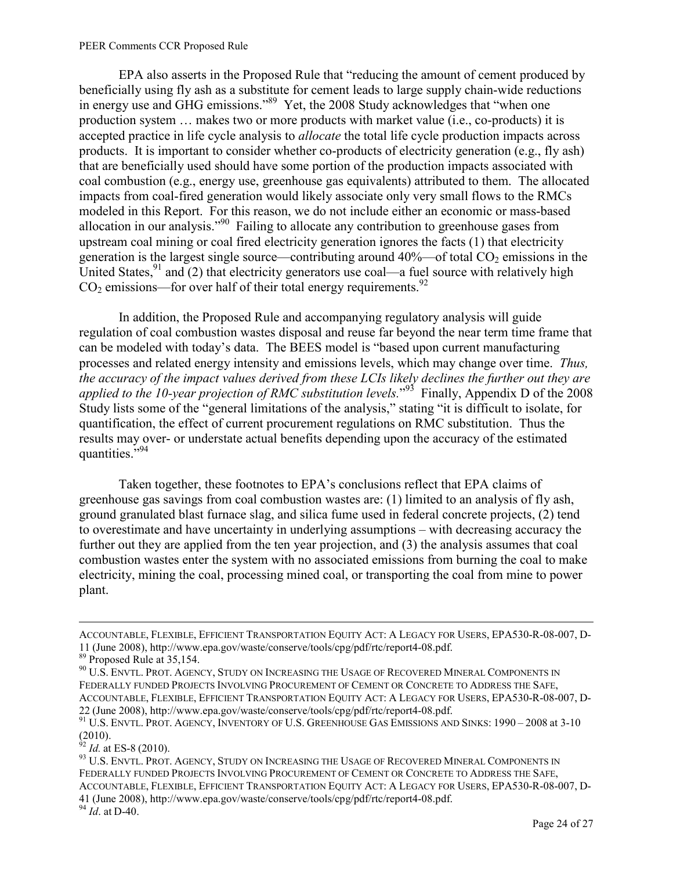EPA also asserts in the Proposed Rule that "reducing the amount of cement produced by beneficially using fly ash as a substitute for cement leads to large supply chain-wide reductions in energy use and GHG emissions."<sup>89</sup> Yet, the 2008 Study acknowledges that "when one production system … makes two or more products with market value (i.e., co-products) it is accepted practice in life cycle analysis to *allocate* the total life cycle production impacts across products. It is important to consider whether co-products of electricity generation (e.g., fly ash) that are beneficially used should have some portion of the production impacts associated with coal combustion (e.g., energy use, greenhouse gas equivalents) attributed to them. The allocated impacts from coal-fired generation would likely associate only very small flows to the RMCs modeled in this Report. For this reason, we do not include either an economic or mass-based allocation in our analysis."<sup>90</sup> Failing to allocate any contribution to greenhouse gases from upstream coal mining or coal fired electricity generation ignores the facts (1) that electricity generation is the largest single source—contributing around  $40\%$ —of total  $CO<sub>2</sub>$  emissions in the United States,  $91$  and (2) that electricity generators use coal—a fuel source with relatively high  $CO<sub>2</sub>$  emissions—for over half of their total energy requirements.<sup>92</sup>

In addition, the Proposed Rule and accompanying regulatory analysis will guide regulation of coal combustion wastes disposal and reuse far beyond the near term time frame that can be modeled with today's data. The BEES model is "based upon current manufacturing processes and related energy intensity and emissions levels, which may change over time. *Thus, the accuracy of the impact values derived from these LCIs likely declines the further out they are applied to the 10-year projection of RMC substitution levels.*" <sup>93</sup> Finally, Appendix D of the 2008 Study lists some of the "general limitations of the analysis," stating "it is difficult to isolate, for quantification, the effect of current procurement regulations on RMC substitution. Thus the results may over- or understate actual benefits depending upon the accuracy of the estimated quantities."<sup>94</sup>

Taken together, these footnotes to EPA's conclusions reflect that EPA claims of greenhouse gas savings from coal combustion wastes are: (1) limited to an analysis of fly ash, ground granulated blast furnace slag, and silica fume used in federal concrete projects, (2) tend to overestimate and have uncertainty in underlying assumptions – with decreasing accuracy the further out they are applied from the ten year projection, and (3) the analysis assumes that coal combustion wastes enter the system with no associated emissions from burning the coal to make electricity, mining the coal, processing mined coal, or transporting the coal from mine to power plant.

<sup>92</sup> *Id.* at ES-8 (2010).

<sup>93</sup> U.S. ENVTL. PROT. AGENCY, STUDY ON INCREASING THE USAGE OF RECOVERED MINERAL COMPONENTS IN FEDERALLY FUNDED PROJECTS INVOLVING PROCUREMENT OF CEMENT OR CONCRETE TO ADDRESS THE SAFE, ACCOUNTABLE, FLEXIBLE, EFFICIENT TRANSPORTATION EQUITY ACT: A LEGACY FOR USERS, EPA530-R-08-007, D-41 (June 2008), http://www.epa.gov/waste/conserve/tools/cpg/pdf/rtc/report4-08.pdf.

<sup>94</sup> *Id*. at D-40.

ACCOUNTABLE, FLEXIBLE, EFFICIENT TRANSPORTATION EQUITY ACT: A LEGACY FOR USERS, EPA530-R-08-007, D-11 (June 2008), http://www.epa.gov/waste/conserve/tools/cpg/pdf/rtc/report4-08.pdf.

<sup>89</sup> Proposed Rule at 35,154.

 $^{90}$  U.S. ENVTL. PROT. AGENCY, STUDY ON INCREASING THE USAGE OF RECOVERED MINERAL COMPONENTS IN FEDERALLY FUNDED PROJECTS INVOLVING PROCUREMENT OF CEMENT OR CONCRETE TO ADDRESS THE SAFE, ACCOUNTABLE, FLEXIBLE, EFFICIENT TRANSPORTATION EQUITY ACT: A LEGACY FOR USERS, EPA530-R-08-007, D-22 (June 2008), http://www.epa.gov/waste/conserve/tools/cpg/pdf/rtc/report4-08.pdf.

<sup>&</sup>lt;sup>91</sup> U.S. ENVTL. PROT. AGENCY, INVENTORY OF U.S. GREENHOUSE GAS EMISSIONS AND SINKS: 1990 – 2008 at 3-10 (2010).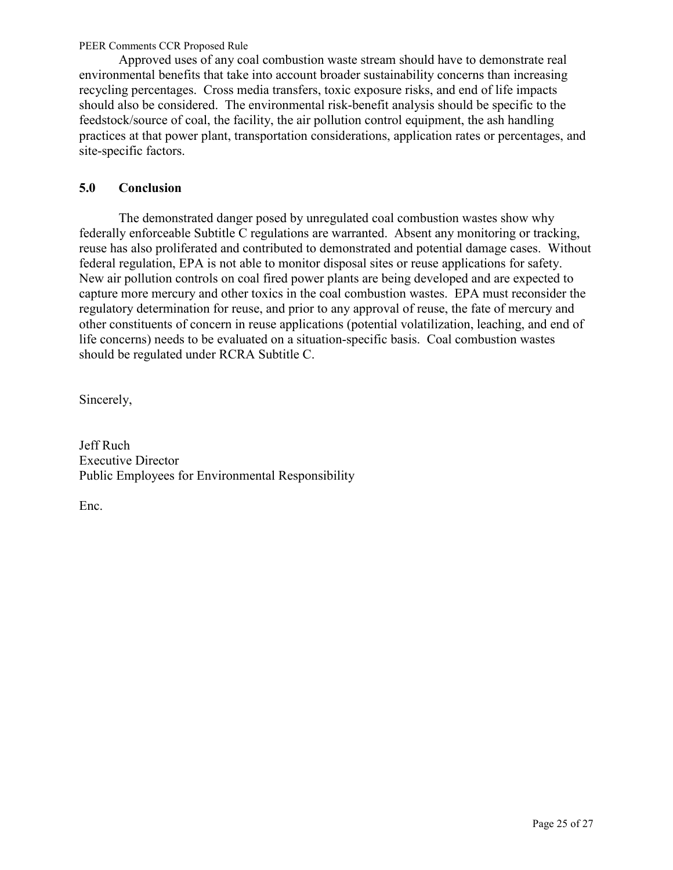<span id="page-24-0"></span>Approved uses of any coal combustion waste stream should have to demonstrate real environmental benefits that take into account broader sustainability concerns than increasing recycling percentages. Cross media transfers, toxic exposure risks, and end of life impacts should also be considered. The environmental risk-benefit analysis should be specific to the feedstock/source of coal, the facility, the air pollution control equipment, the ash handling practices at that power plant, transportation considerations, application rates or percentages, and site-specific factors.

# **5.0 Conclusion**

The demonstrated danger posed by unregulated coal combustion wastes show why federally enforceable Subtitle C regulations are warranted. Absent any monitoring or tracking, reuse has also proliferated and contributed to demonstrated and potential damage cases. Without federal regulation, EPA is not able to monitor disposal sites or reuse applications for safety. New air pollution controls on coal fired power plants are being developed and are expected to capture more mercury and other toxics in the coal combustion wastes. EPA must reconsider the regulatory determination for reuse, and prior to any approval of reuse, the fate of mercury and other constituents of concern in reuse applications (potential volatilization, leaching, and end of life concerns) needs to be evaluated on a situation-specific basis. Coal combustion wastes should be regulated under RCRA Subtitle C.

Sincerely,

Jeff Ruch Executive Director Public Employees for Environmental Responsibility

Enc.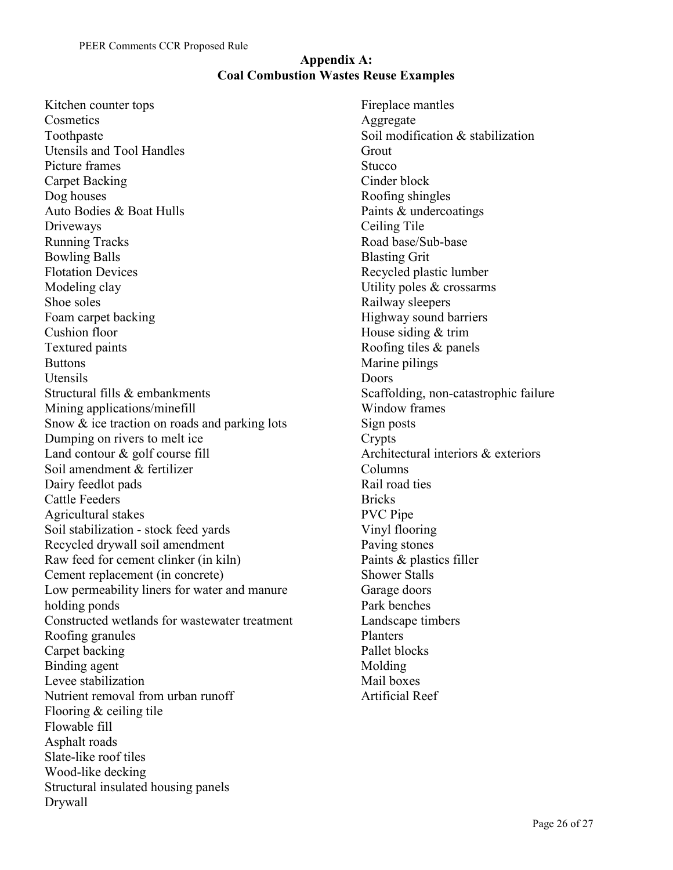## **Appendix A: Coal Combustion Wastes Reuse Examples**

Kitchen counter tops **Cosmetics** Toothpaste Utensils and Tool Handles Picture frames Carpet Backing Dog houses Auto Bodies & Boat Hulls Driveways Running Tracks Bowling Balls Flotation Devices Modeling clay Shoe soles Foam carpet backing Cushion floor Textured paints **Buttons** Utensils Structural fills & embankments Mining applications/minefill Snow & ice traction on roads and parking lots Dumping on rivers to melt ice Land contour & golf course fill Soil amendment & fertilizer Dairy feedlot pads Cattle Feeders Agricultural stakes Soil stabilization - stock feed yards Recycled drywall soil amendment Raw feed for cement clinker (in kiln) Cement replacement (in concrete) Low permeability liners for water and manure holding ponds Constructed wetlands for wastewater treatment Roofing granules Carpet backing Binding agent Levee stabilization Nutrient removal from urban runoff Flooring & ceiling tile Flowable fill Asphalt roads Slate-like roof tiles Wood-like decking Structural insulated housing panels Drywall

Fireplace mantles Aggregate Soil modification & stabilization **Grout Stucco** Cinder block Roofing shingles Paints & undercoatings Ceiling Tile Road base/Sub-base Blasting Grit Recycled plastic lumber Utility poles & crossarms Railway sleepers Highway sound barriers House siding & trim Roofing tiles & panels Marine pilings Doors Scaffolding, non-catastrophic failure Window frames Sign posts Crypts Architectural interiors & exteriors Columns Rail road ties **Bricks** PVC Pipe Vinyl flooring Paving stones Paints & plastics filler Shower Stalls Garage doors Park benches Landscape timbers Planters Pallet blocks Molding Mail boxes Artificial Reef